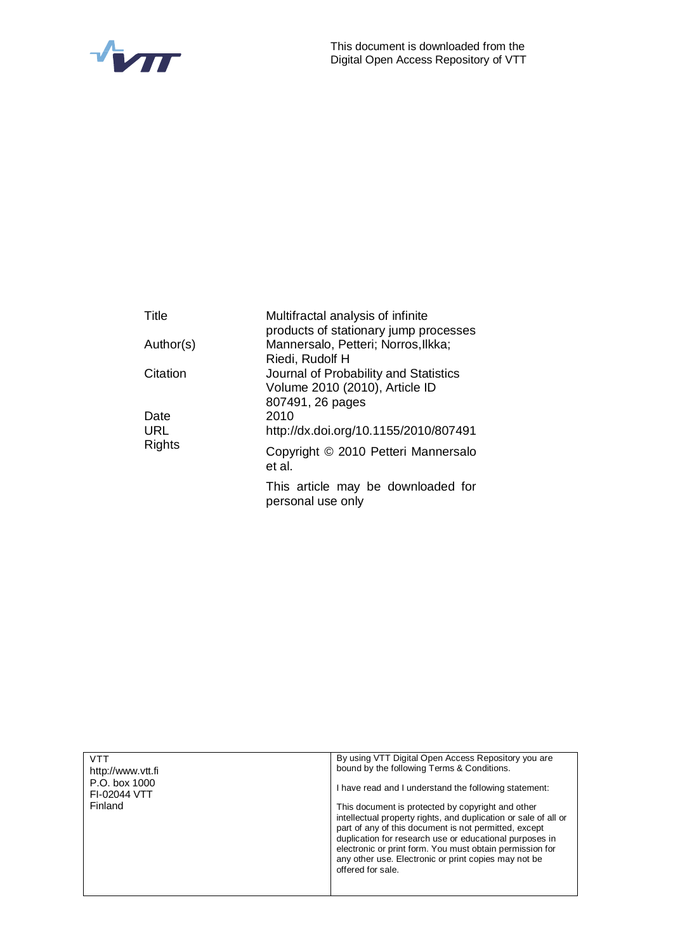



| Title         | Multifractal analysis of infinite<br>products of stationary jump processes                  |
|---------------|---------------------------------------------------------------------------------------------|
| Author(s)     | Mannersalo, Petteri; Norros, Ilkka;<br>Riedi, Rudolf H                                      |
| Citation      | Journal of Probability and Statistics<br>Volume 2010 (2010), Article ID<br>807491, 26 pages |
| Date          | 2010                                                                                        |
| URL           | http://dx.doi.org/10.1155/2010/807491                                                       |
| <b>Rights</b> | Copyright © 2010 Petteri Mannersalo<br>et al.                                               |
|               | This article may be downloaded for<br>personal use only                                     |

| VTT<br>http://www.ytt.fi<br>P.O. box 1000<br>FI-02044 VTT<br>Finland | By using VTT Digital Open Access Repository you are<br>bound by the following Terms & Conditions.<br>I have read and I understand the following statement:<br>This document is protected by copyright and other<br>intellectual property rights, and duplication or sale of all or |
|----------------------------------------------------------------------|------------------------------------------------------------------------------------------------------------------------------------------------------------------------------------------------------------------------------------------------------------------------------------|
|                                                                      | part of any of this document is not permitted, except<br>duplication for research use or educational purposes in<br>electronic or print form. You must obtain permission for<br>any other use. Electronic or print copies may not be<br>offered for sale.                          |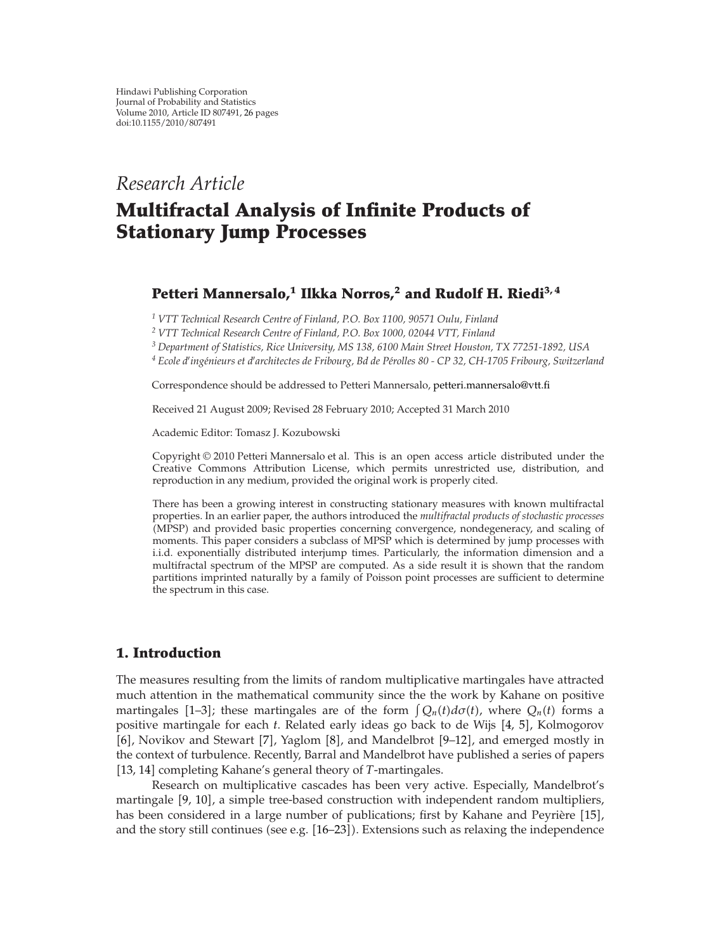# *Research Article*

# **Multifractal Analysis of Infinite Products of Stationary Jump Processes**

## Petteri Mannersalo,<sup>1</sup> Ilkka Norros,<sup>2</sup> and Rudolf H. Riedi<sup>3,4</sup>

*<sup>1</sup> VTT Technical Research Centre of Finland, P.O. Box 1100, 90571 Oulu, Finland*

*<sup>2</sup> VTT Technical Research Centre of Finland, P.O. Box 1000, 02044 VTT, Finland*

*<sup>3</sup> Department of Statistics, Rice University, MS 138, 6100 Main Street Houston, TX 77251-1892, USA*

<sup>4</sup> Ecole d'ingénieurs et d'architectes de Fribourg, Bd de Pérolles 80 - CP 32, CH-1705 Fribourg, Switzerland

Correspondence should be addressed to Petteri Mannersalo, petteri.mannersalo@vtt.fi

Received 21 August 2009; Revised 28 February 2010; Accepted 31 March 2010

Academic Editor: Tomasz J. Kozubowski

Copyright  $@ 2010$  Petteri Mannersalo et al. This is an open access article distributed under the Creative Commons Attribution License, which permits unrestricted use, distribution, and reproduction in any medium, provided the original work is properly cited.

There has been a growing interest in constructing stationary measures with known multifractal properties. In an earlier paper, the authors introduced the *multifractal products of stochastic processes* (MPSP) and provided basic properties concerning convergence, nondegeneracy, and scaling of moments. This paper considers a subclass of MPSP which is determined by jump processes with i.i.d. exponentially distributed interjump times. Particularly, the information dimension and a multifractal spectrum of the MPSP are computed. As a side result it is shown that the random partitions imprinted naturally by a family of Poisson point processes are sufficient to determine the spectrum in this case.

## **1. Introduction**

The measures resulting from the limits of random multiplicative martingales have attracted much attention in the mathematical community since the the work by Kahane on positive martingales [1–3]; these martingales are of the form  $\int Q_n(t)d\sigma(t)$ , where  $Q_n(t)$  forms a positive martingale for each *t*. Related early ideas go back to de Wijs [4, 5], Kolmogorov [6], Novikov and Stewart [7], Yaglom [8], and Mandelbrot [9-12], and emerged mostly in the context of turbulence. Recently, Barral and Mandelbrot have published a series of papers [13, 14] completing Kahane's general theory of *T*-martingales.

Research on multiplicative cascades has been very active. Especially, Mandelbrot's martingale [9, 10], a simple tree-based construction with independent random multipliers, has been considered in a large number of publications; first by Kahane and Peyrière [15], and the story still continues (see e.g. [16–23]). Extensions such as relaxing the independence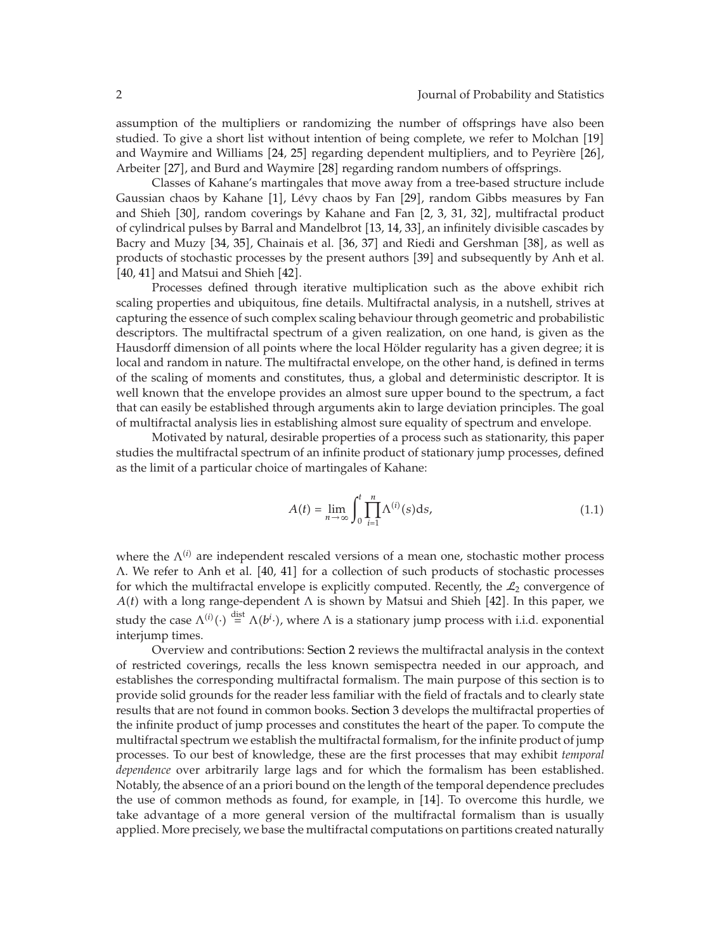assumption of the multipliers or randomizing the number of offsprings have also been studied. To give a short list without intention of being complete, we refer to Molchan [19] and Waymire and Williams  $[24, 25]$  regarding dependent multipliers, and to Peyrière  $[26]$ , Arbeiter [27], and Burd and Waymire [28] regarding random numbers of offsprings.

Classes of Kahane's martingales that move away from a tree-based structure include Gaussian chaos by Kahane [1], Lévy chaos by Fan [29], random Gibbs measures by Fan and Shieh [30], random coverings by Kahane and Fan [2, 3, 31, 32], multifractal product of cylindrical pulses by Barral and Mandelbrot 13, 14, 33, an infinitely divisible cascades by Bacry and Muzy [34, 35], Chainais et al. [36, 37] and Riedi and Gershman [38], as well as products of stochastic processes by the present authors [39] and subsequently by Anh et al.  $[40, 41]$  and Matsui and Shieh  $[42]$ .

Processes defined through iterative multiplication such as the above exhibit rich scaling properties and ubiquitous, fine details. Multifractal analysis, in a nutshell, strives at capturing the essence of such complex scaling behaviour through geometric and probabilistic descriptors. The multifractal spectrum of a given realization, on one hand, is given as the Hausdorff dimension of all points where the local Hölder regularity has a given degree; it is local and random in nature. The multifractal envelope, on the other hand, is defined in terms of the scaling of moments and constitutes, thus, a global and deterministic descriptor. It is well known that the envelope provides an almost sure upper bound to the spectrum, a fact that can easily be established through arguments akin to large deviation principles. The goal of multifractal analysis lies in establishing almost sure equality of spectrum and envelope.

Motivated by natural, desirable properties of a process such as stationarity, this paper studies the multifractal spectrum of an infinite product of stationary jump processes, defined as the limit of a particular choice of martingales of Kahane:

$$
A(t) = \lim_{n \to \infty} \int_0^t \prod_{i=1}^n \Lambda^{(i)}(s) \, \mathrm{d} s,\tag{1.1}
$$

where the  $\Lambda^{(i)}$  are independent rescaled versions of a mean one, stochastic mother process Λ. We refer to Anh et al. 40, 41 for a collection of such products of stochastic processes for which the multifractal envelope is explicitly computed. Recently, the  $\mathcal{L}_2$  convergence of  $A(t)$  with a long range-dependent  $\Lambda$  is shown by Matsui and Shieh [42]. In this paper, we study the case  $\Lambda^{(i)}(\cdot) \stackrel{\text{dist}}{=} \Lambda(b^i \cdot)$ , where  $\Lambda$  is a stationary jump process with i.i.d. exponential interjump times.

Overview and contributions: Section 2 reviews the multifractal analysis in the context of restricted coverings, recalls the less known semispectra needed in our approach, and establishes the corresponding multifractal formalism. The main purpose of this section is to provide solid grounds for the reader less familiar with the field of fractals and to clearly state results that are not found in common books. Section 3 develops the multifractal properties of the infinite product of jump processes and constitutes the heart of the paper. To compute the multifractal spectrum we establish the multifractal formalism, for the infinite product of jump processes. To our best of knowledge, these are the first processes that may exhibit *temporal dependence* over arbitrarily large lags and for which the formalism has been established. Notably, the absence of an a priori bound on the length of the temporal dependence precludes the use of common methods as found, for example, in [14]. To overcome this hurdle, we take advantage of a more general version of the multifractal formalism than is usually applied. More precisely, we base the multifractal computations on partitions created naturally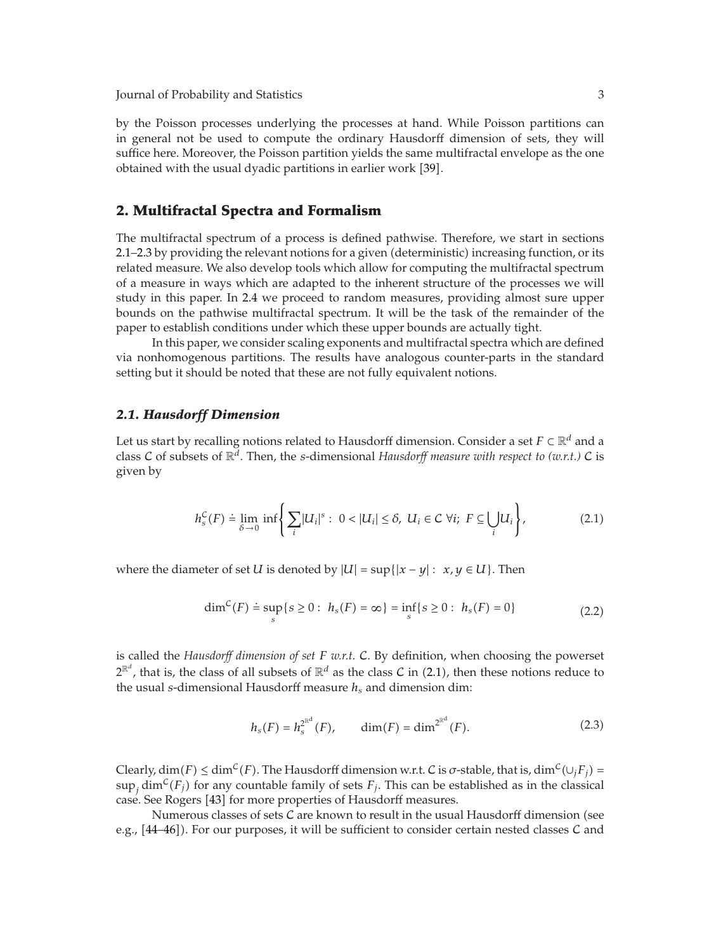by the Poisson processes underlying the processes at hand. While Poisson partitions can in general not be used to compute the ordinary Hausdorff dimension of sets, they will suffice here. Moreover, the Poisson partition yields the same multifractal envelope as the one obtained with the usual dyadic partitions in earlier work [39].

## **2. Multifractal Spectra and Formalism**

The multifractal spectrum of a process is defined pathwise. Therefore, we start in sections 2.1–2.3 by providing the relevant notions for a given (deterministic) increasing function, or its related measure. We also develop tools which allow for computing the multifractal spectrum of a measure in ways which are adapted to the inherent structure of the processes we will study in this paper. In 2.4 we proceed to random measures, providing almost sure upper bounds on the pathwise multifractal spectrum. It will be the task of the remainder of the paper to establish conditions under which these upper bounds are actually tight.

In this paper, we consider scaling exponents and multifractal spectra which are defined via nonhomogenous partitions. The results have analogous counter-parts in the standard setting but it should be noted that these are not fully equivalent notions.

#### *2.1. Hausdorff Dimension*

Let us start by recalling notions related to Hausdorff dimension. Consider a set *F* ⊂ R*<sup>d</sup>* and a class C of subsets of  $\mathbb{R}^d$ . Then, the *s*-dimensional *Hausdorff measure with respect to (w.r.t.)* C is given by

$$
h_s^{\mathcal{C}}(F) \doteq \lim_{\delta \to 0} \inf \left\{ \sum_i |U_i|^s : 0 < |U_i| \le \delta, \ U_i \in \mathcal{C} \ \forall i; \ F \subseteq \bigcup_i U_i \right\},\tag{2.1}
$$

where the diameter of set *U* is denoted by  $|U| = \sup\{|x - y| : x, y \in U\}$ . Then

$$
\dim^{\mathcal{C}}(F) \doteq \sup_{s} \{ s \ge 0 : h_s(F) = \infty \} = \inf_{s} \{ s \ge 0 : h_s(F) = 0 \}
$$
 (2.2)

is called the *Hausdorff dimension of set F w.r.t.* C. By definition, when choosing the powerset  $2^{\mathbb{R}^d}$ , that is, the class of all subsets of  $\mathbb{R}^d$  as the class  $C$  in  $(2.1)$ , then these notions reduce to the usual *s*-dimensional Hausdorff measure *hs* and dimension dim:

$$
h_s(F) = h_s^{2^{\mathbb{R}^d}}(F), \qquad \dim(F) = \dim^{2^{\mathbb{R}^d}}(F). \tag{2.3}
$$

*Clearly, dim(F)*  $\leq$  dim<sup>C</sup>(*F*). The Hausdorff dimension w.r.t. C is *σ*-stable, that is, dim<sup>C</sup>( $\cup_j F_j$ ) =  $\sup_j \dim^{\mathcal{C}}(F_j)$  for any countable family of sets  $F_j$ . This can be established as in the classical case. See Rogers [43] for more properties of Hausdorff measures.

Numerous classes of sets  ${\cal C}$  are known to result in the usual Hausdorff dimension (see e.g.,  $[44–46]$ ). For our purposes, it will be sufficient to consider certain nested classes C and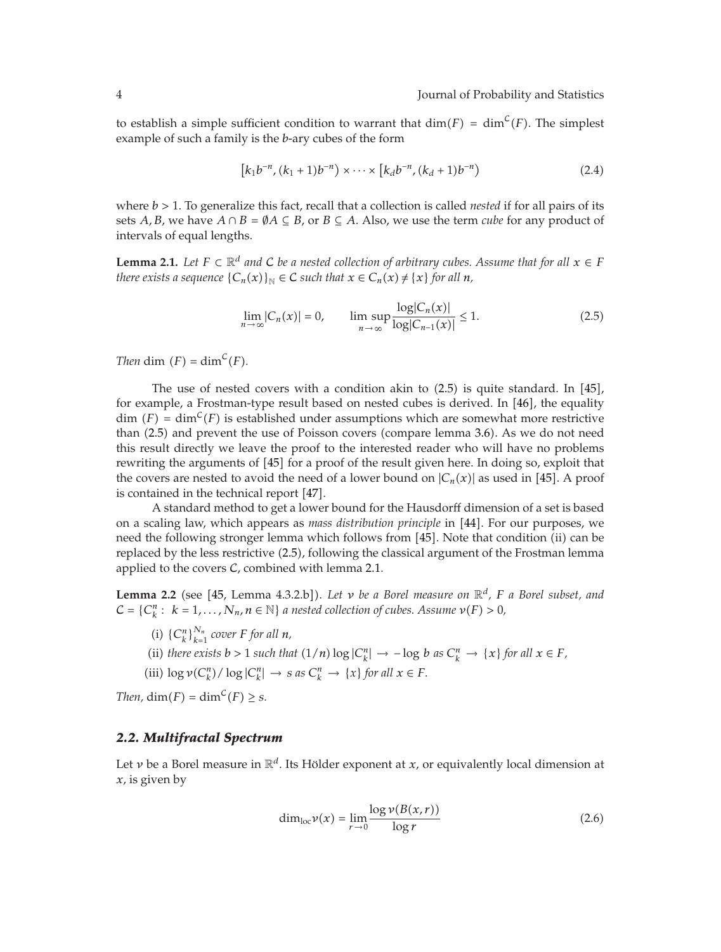to establish a simple sufficient condition to warrant that  $\dim(F) = \dim^{\mathcal{C}}(F)$ . The simplest example of such a family is the *b*-ary cubes of the form

$$
[k_1b^{-n}, (k_1+1)b^{-n}) \times \cdots \times [k_d b^{-n}, (k_d+1)b^{-n}) \tag{2.4}
$$

where *b >* 1. To generalize this fact, recall that a collection is called *nested* if for all pairs of its sets *A*, *B*, we have  $A \cap B = \emptyset A \subseteq B$ , or  $B \subseteq A$ . Also, we use the term *cube* for any product of intervals of equal lengths.

**Lemma 2.1.** *Let*  $F \subset \mathbb{R}^d$  *and*  $C$  *be a nested collection of arbitrary cubes. Assume that for all*  $x \in F$ *there exists a sequence*  ${C_n(x)}_N \in C$  *such that*  $x \in C_n(x) \neq \{x\}$  for all  $n$ ,

$$
\lim_{n \to \infty} |C_n(x)| = 0, \qquad \limsup_{n \to \infty} \frac{\log|C_n(x)|}{\log|C_{n-1}(x)|} \le 1.
$$
\n(2.5)

*Then* dim  $(F) = \dim^{\mathcal{C}}(F)$ *.* 

The use of nested covers with a condition akin to  $(2.5)$  is quite standard. In  $[45]$ , for example, a Frostman-type result based on nested cubes is derived. In  $[46]$ , the equality dim  $(F) = \dim^{\mathcal{C}}(F)$  is established under assumptions which are somewhat more restrictive than (2.5) and prevent the use of Poisson covers (compare lemma 3.6). As we do not need this result directly we leave the proof to the interested reader who will have no problems rewriting the arguments of [45] for a proof of the result given here. In doing so, exploit that the covers are nested to avoid the need of a lower bound on  $|C_n(x)|$  as used in [45]. A proof is contained in the technical report [47].

A standard method to get a lower bound for the Hausdorff dimension of a set is based on a scaling law, which appears as *mass distribution principle* in [44]. For our purposes, we need the following stronger lemma which follows from [45]. Note that condition (ii) can be replaced by the less restrictive (2.5), following the classical argument of the Frostman lemma applied to the covers  $C$ , combined with lemma 2.1.

Lemma 2.2 (see [45, Lemma 4.3.2.b]). Let *v* be a Borel measure on  $\mathbb{R}^d$ , F a Borel subset, and  $C = \{C_k^n : k = 1, \ldots, N_n, n \in \mathbb{N}\}\$ a nested collection of cubes. Assume  $\nu(F) > 0$ ,

- (i)  $\{C_k^n\}_{k=1}^{N_n}$  cover *F* for all *n*,
- (ii) *there exists b* > 1 *such that*  $(1/n) \log |C_k^n|$  → − log *b as*  $C_k^n$  → {*x*} *for all*  $x \in F$ *,*

(iii) 
$$
\log \nu(C_k^n) / \log |C_k^n| \to s \text{ as } C_k^n \to \{x\} \text{ for all } x \in F.
$$

*Then,*  $\dim(F) = \dim^C(F) \geq s$ *.* 

#### *2.2. Multifractal Spectrum*

Let *v* be a Borel measure in  $\mathbb{R}^d$ . Its Hölder exponent at *x*, or equivalently local dimension at *x*, is given by

$$
\dim_{\text{loc}} \nu(x) = \lim_{r \to 0} \frac{\log \nu(B(x, r))}{\log r} \tag{2.6}
$$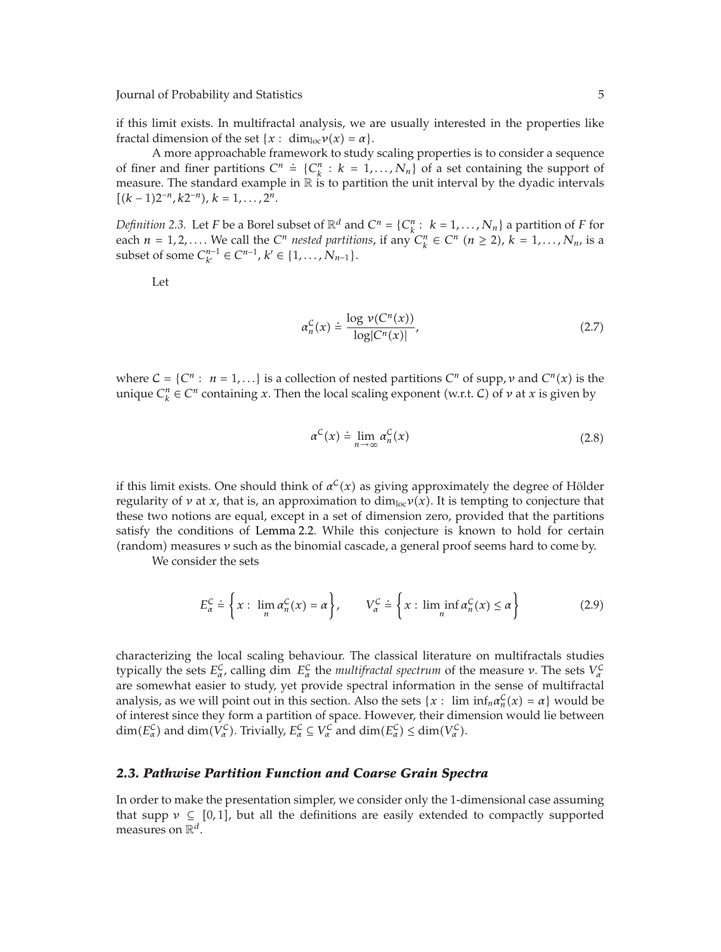if this limit exists. In multifractal analysis, we are usually interested in the properties like fractal dimension of the set  $\{x: \dim_{loc} \nu(x) = \alpha\}.$ 

A more approachable framework to study scaling properties is to consider a sequence of finer and finer partitions  $C^n \doteq \{C_k^n : k = 1, ..., N_n\}$  of a set containing the support of measure. The standard example in  $\mathbb R$  is to partition the unit interval by the dyadic intervals  $[(k-1)2^{-n}, k2^{-n}), k = 1, \ldots, 2^n.$ 

*Definition 2.3.* Let *F* be a Borel subset of  $\mathbb{R}^d$  and  $C^n = \{C_k^n : k = 1, ..., N_n\}$  a partition of *F* for each  $n = 1, 2, \ldots$  We call the  $C^n$  *nested partitions*, if any  $C_k^n \in C^n$   $(n \ge 2)$ ,  $k = 1, \ldots, N_n$ , is a subset of some  $C_{k'}^{n-1}$  ∈  $C^{n-1}$ ,  $k'$  ∈ {1, ...,  $N_{n-1}$ }.

Let

$$
\alpha_n^{\mathcal{C}}(x) \doteq \frac{\log \nu(C^n(x))}{\log|C^n(x)|},\tag{2.7}
$$

where  $C = \{C^n : n = 1,...\}$  is a collection of nested partitions  $C^n$  of supp,  $\nu$  and  $C^n(x)$  is the unique  $C_k^n \in \mathbb{C}^n$  containing *x*. Then the local scaling exponent (w.r.t. *C*) of *ν* at *x* is given by

$$
\alpha^{C}(x) \doteq \lim_{n \to \infty} \alpha_{n}^{C}(x) \tag{2.8}
$$

if this limit exists. One should think of  $\alpha^C(x)$  as giving approximately the degree of Hölder regularity of *ν* at *x*, that is, an approximation to dim<sub>loc</sub>ν(*x*). It is tempting to conjecture that these two notions are equal, except in a set of dimension zero, provided that the partitions satisfy the conditions of Lemma 2.2. While this conjecture is known to hold for certain (random) measures *ν* such as the binomial cascade, a general proof seems hard to come by.

We consider the sets

$$
E_{\alpha}^{C} \doteq \left\{ x : \lim_{n} \alpha_{n}^{C}(x) = \alpha \right\}, \qquad V_{\alpha}^{C} \doteq \left\{ x : \liminf_{n} \alpha_{n}^{C}(x) \le \alpha \right\}
$$
 (2.9)

characterizing the local scaling behaviour. The classical literature on multifractals studies typically the sets  $E^C_\alpha$ , calling dim  $E^C_\alpha$  the *multifractal spectrum* of the measure *ν*. The sets  $V^C_\alpha$ are somewhat easier to study, yet provide spectral information in the sense of multifractal analysis, as we will point out in this section. Also the sets  $\{x : \liminf_{n \to \infty} a_n^C(x) = \alpha\}$  would be of interest since they form a partition of space. However, their dimension would lie between  $\dim(E_{\alpha}^{\mathcal{C}})$  and  $\dim(V_{\alpha}^{\mathcal{C}})$ . Trivially,  $E_{\alpha}^{\mathcal{C}} \subseteq V_{\alpha}^{\mathcal{C}}$  and  $\dim(E_{\alpha}^{\mathcal{C}}) \leq \dim(V_{\alpha}^{\mathcal{C}})$ .

#### *2.3. Pathwise Partition Function and Coarse Grain Spectra*

In order to make the presentation simpler, we consider only the 1-dimensional case assuming that supp  $\nu \subseteq [0,1]$ , but all the definitions are easily extended to compactly supported measures on R*<sup>d</sup>*.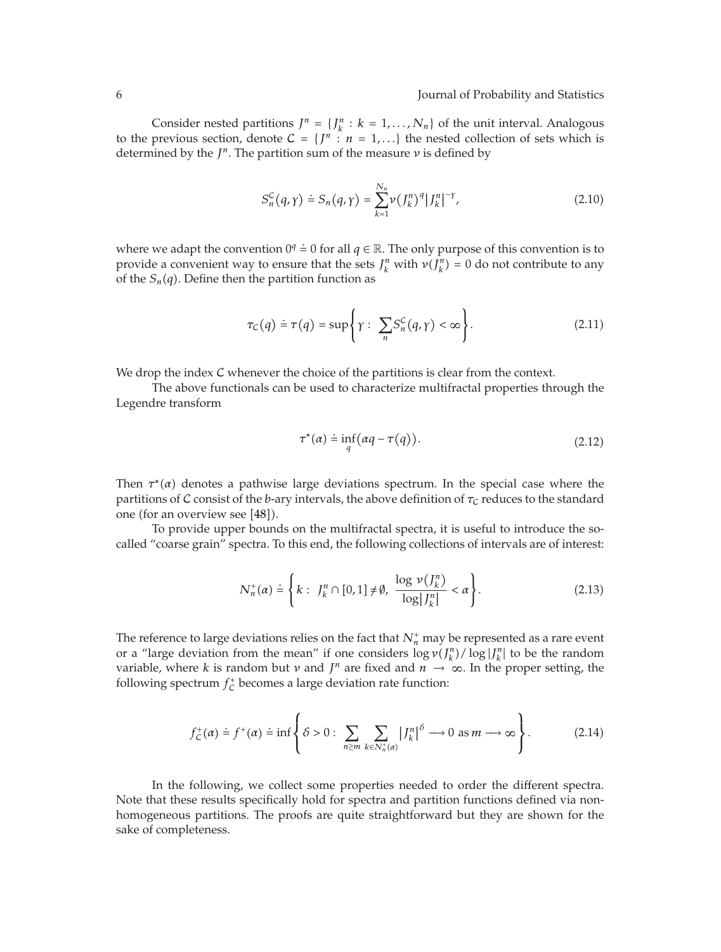Consider nested partitions  $J^n = \{J_k^n : k = 1, ..., N_n\}$  of the unit interval. Analogous to the previous section, denote  $C = \{J^n : n = 1,...\}$  the nested collection of sets which is determined by the  $J^n$ . The partition sum of the measure  $\nu$  is defined by

$$
S_n^{\mathcal{C}}(q,\gamma) \doteq S_n(q,\gamma) = \sum_{k=1}^{N_n} \nu \left(\left|J_k^n\right|^q \right| \left|J_k^n\right|^{-\gamma},\tag{2.10}
$$

where we adapt the convention  $0^q \doteq 0$  for all  $q \in \mathbb{R}$ . The only purpose of this convention is to provide a convenient way to ensure that the sets  $J_k^n$  with  $\nu(J_k^n) = 0$  do not contribute to any of the  $S_n(q)$ . Define then the partition function as

$$
\tau_C(q) \doteq \tau(q) = \sup \left\{ \gamma : \sum_n S_n^C(q, \gamma) < \infty \right\}. \tag{2.11}
$$

We drop the index C whenever the choice of the partitions is clear from the context.

The above functionals can be used to characterize multifractal properties through the Legendre transform

$$
\tau^*(\alpha) \doteq \inf_q (\alpha q - \tau(q)). \tag{2.12}
$$

Then  $\tau^*(\alpha)$  denotes a pathwise large deviations spectrum. In the special case where the partitions of C consist of the *b*-ary intervals, the above definition of  $\tau_c$  reduces to the standard one (for an overview see [48]).

To provide upper bounds on the multifractal spectra, it is useful to introduce the socalled "coarse grain" spectra. To this end, the following collections of intervals are of interest:

$$
N_n^+(\alpha) \doteq \left\{ k : J_k^n \cap [0,1] \neq \emptyset, \ \frac{\log \nu(J_k^n)}{\log |J_k^n|} < \alpha \right\}.\tag{2.13}
$$

The reference to large deviations relies on the fact that  $N_n^+$  may be represented as a rare event or a "large deviation from the mean" if one considers  $\log v(J_k^n) / \log |J_k^n|$  to be the random variable, where *k* is random but *v* and  $J^n$  are fixed and  $n \to \infty$ . In the proper setting, the following spectrum  $f_{\mathcal{C}}^+$  becomes a large deviation rate function:

$$
f_C^+(\alpha) \doteq f^+(\alpha) \doteq \inf \left\{ \delta > 0: \sum_{n \ge m} \sum_{k \in N_n^+(\alpha)} \left| J_k^n \right|^{\delta} \longrightarrow 0 \text{ as } m \longrightarrow \infty \right\}.
$$
 (2.14)

In the following, we collect some properties needed to order the different spectra. Note that these results specifically hold for spectra and partition functions defined via nonhomogeneous partitions. The proofs are quite straightforward but they are shown for the sake of completeness.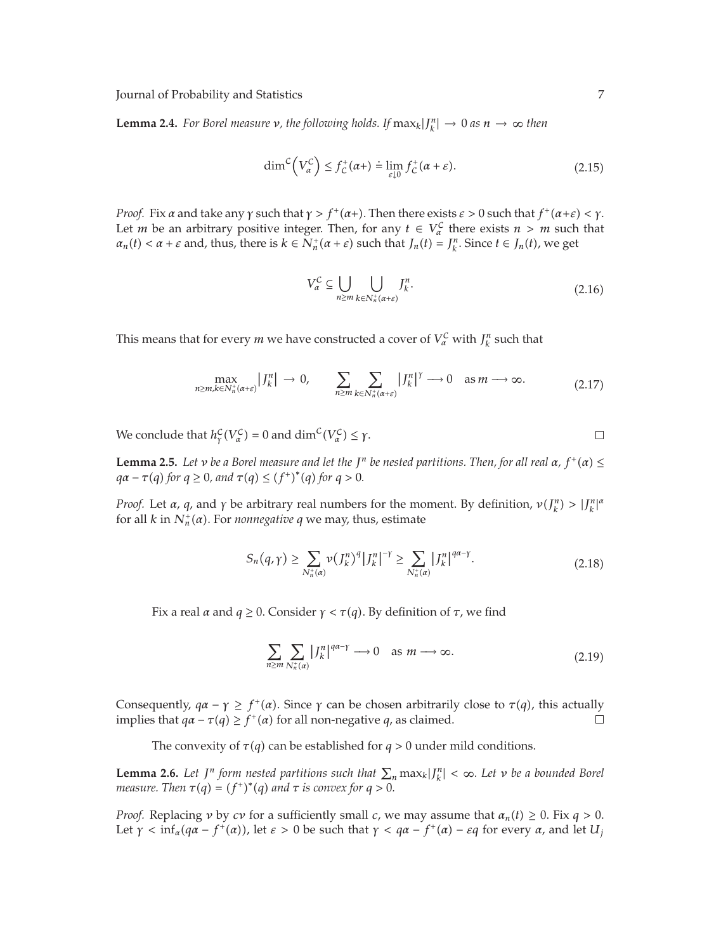**Lemma 2.4.** *For Borel measure ν, the following holds. If*  $\max_k |J_k^n| \to 0$  *as*  $n \to \infty$  *then* 

$$
\dim^{\mathcal{C}}\left(V_{\alpha}^{\mathcal{C}}\right) \le f_{\mathcal{C}}^{+}(\alpha + ) \doteq \lim_{\varepsilon \downarrow 0} f_{\mathcal{C}}^{+}(\alpha + \varepsilon). \tag{2.15}
$$

*Proof.* Fix  $\alpha$  and take any  $\gamma$  such that  $\gamma > f^+(\alpha+)$ . Then there exists  $\varepsilon > 0$  such that  $f^+(\alpha + \varepsilon) < \gamma$ . Let *m* be an arbitrary positive integer. Then, for any  $t \in V_\alpha^C$  there exists  $n > m$  such that  $a_n(t) < a + \varepsilon$  and, thus, there is  $k \in N_n^+(\alpha + \varepsilon)$  such that  $J_n(t) = J_k^n$ . Since  $t \in J_n(t)$ , we get

$$
V_{\alpha}^{\mathcal{C}} \subseteq \bigcup_{n \ge m} \bigcup_{k \in N_n^+(\alpha + \varepsilon)} J_k^n. \tag{2.16}
$$

This means that for every *m* we have constructed a cover of  $V^{\mathcal{C}}_{\alpha}$  with  $J^{\mathcal{n}}_k$  such that

$$
\max_{n \ge m, k \in N_n^+(\alpha + \varepsilon)} |J_k^n| \to 0, \qquad \sum_{n \ge m} \sum_{k \in N_n^+(\alpha + \varepsilon)} |J_k^n|^{\gamma} \to 0 \quad \text{as } m \to \infty.
$$
 (2.17)

We conclude that  $h^{\mathcal{C}}_{\gamma}(V^{\mathcal{C}}_{\alpha}) = 0$  and  $\dim^{\mathcal{C}}(V^{\mathcal{C}}_{\alpha}) \leq \gamma$ .

**Lemma 2.5.** Let *v* be a Borel measure and let the  $J<sup>n</sup>$  be nested partitions. Then, for all real  $\alpha$ ,  $f<sup>+</sup>(\alpha) \leq$  $qa - \tau(q)$  for  $q \ge 0$ , and  $\tau(q) \le (f^+)^*(q)$  for  $q > 0$ .

*Proof.* Let *a*, *q*, and *γ* be arbitrary real numbers for the moment. By definition,  $\nu(J_k^n) > |J_k^n|^a$ for all *k* in  $N_n^{\dagger}(\alpha)$ . For *nonnegative q* we may, thus, estimate

$$
S_n(q,\gamma) \ge \sum_{N_n^+(\alpha)} \nu \left(\left|J_k^n\right|^q\right) \left|\left|\left|J_k^n\right|\right|^{-\gamma} \ge \sum_{N_n^+(\alpha)} \left|\left|\left|\left|J_k^n\right|\right|^{q\alpha-\gamma} \right| \tag{2.18}
$$

Fix a real *α* and  $q \geq 0$ . Consider  $\gamma < \tau(q)$ . By definition of  $\tau$ , we find

$$
\sum_{n\geq m}\sum_{N_n^+(\alpha)}|J_k^n|^{q\alpha-\gamma}\longrightarrow 0 \quad \text{as } m\longrightarrow\infty.
$$
 (2.19)

Consequently,  $qa - \gamma \geq f^+(\alpha)$ . Since  $\gamma$  can be chosen arbitrarily close to  $\tau(q)$ , this actually implies that  $qa - \tau(q) \geq f^+(\alpha)$  for all non-negative *q*, as claimed.  $\Box$ 

The convexity of  $\tau(q)$  can be established for  $q > 0$  under mild conditions.

**Lemma 2.6.** Let  $J^n$  form nested partitions such that  $\sum_n \max_k |J_k^n| < \infty$ . Let  $\nu$  be a bounded Borel *measure.* Then  $\tau(q) = (f^+)^*(q)$  and  $\tau$  is convex for  $q > 0$ .

*Proof.* Replacing *ν* by *cv* for a sufficiently small *c*, we may assume that  $\alpha_n(t) \geq 0$ . Fix  $q > 0$ . Let  $\gamma$  < inf<sub>*α*</sub>( $q\alpha$  –  $f^+(\alpha)$ ), let  $\varepsilon > 0$  be such that  $\gamma < q\alpha$  –  $f^+(\alpha)$  –  $\varepsilon q$  for every  $\alpha$ , and let  $U_j$ 

 $\Box$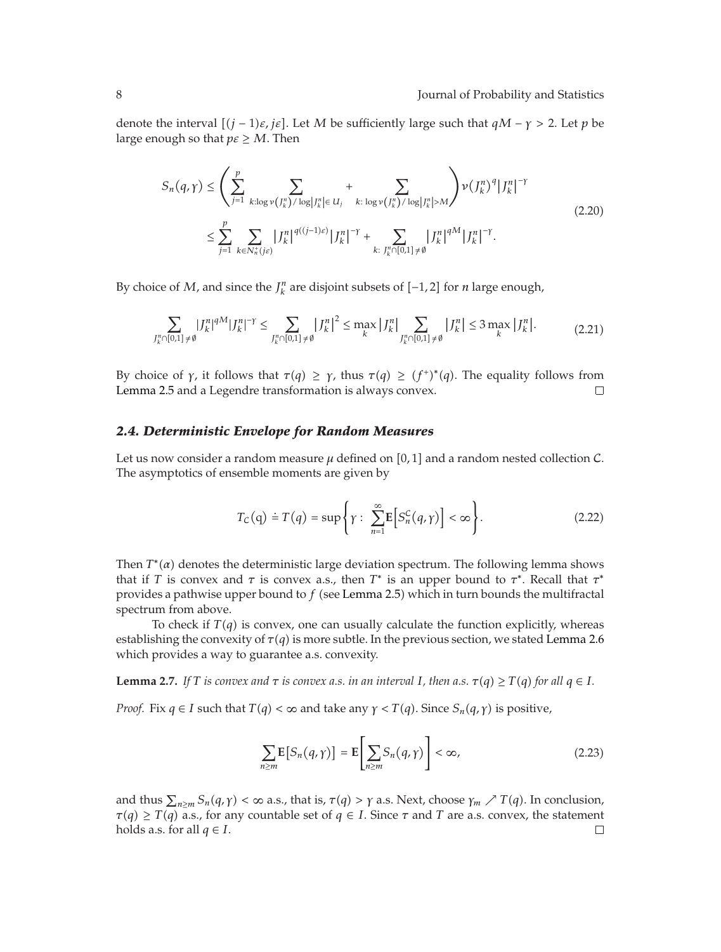denote the interval  $[(j - 1)\varepsilon, j\varepsilon]$ . Let *M* be sufficiently large such that  $qM - \gamma > 2$ . Let *p* be large enough so that  $p \in \Sigma$  *M*. Then

$$
S_n(q,\gamma) \leq \left(\sum_{j=1}^p \sum_{k:\log \nu(f_k^n)/\log|J_k^n| \in U_j} + \sum_{k:\log \nu(f_k^n)/\log|J_k^n| > M} \right) \nu(J_k^n)^q |J_k^n|^{-\gamma}
$$
  

$$
\leq \sum_{j=1}^p \sum_{k \in N_n^+(j\varepsilon)} |J_k^n|^{q((j-1)\varepsilon)} |J_k^n|^{-\gamma} + \sum_{k:\;J_k^n \cap [0,1] \neq \emptyset} |J_k^n|^{qM} |J_k^n|^{-\gamma}.
$$
 (2.20)

By choice of *M*, and since the  $J_k^n$  are disjoint subsets of  $[-1,2]$  for *n* large enough,

$$
\sum_{J_k^n \cap [0,1] \neq \emptyset} |J_k^n|^{4M} |J_k^n|^{-\gamma} \le \sum_{J_k^n \cap [0,1] \neq \emptyset} |J_k^n|^2 \le \max_k |J_k^n| \sum_{J_k^n \cap [0,1] \neq \emptyset} |J_k^n| \le 3 \max_k |J_k^n|. \tag{2.21}
$$

By choice of *γ*, it follows that  $\tau(q) \geq \gamma$ , thus  $\tau(q) \geq (f^+)^*(q)$ . The equality follows from Lemma 2.5 and a Legendre transformation is always convex.  $\Box$ 

#### *2.4. Deterministic Envelope for Random Measures*

Let us now consider a random measure  $\mu$  defined on [0,1] and a random nested collection  $\mathcal{C}$ . The asymptotics of ensemble moments are given by

$$
T_C(q) \doteq T(q) = \sup \left\{ \gamma : \sum_{n=1}^{\infty} \mathbb{E} \left[ S_n^C(q, \gamma) \right] < \infty \right\}. \tag{2.22}
$$

Then  $T^*(\alpha)$  denotes the deterministic large deviation spectrum. The following lemma shows that if *T* is convex and *τ* is convex a.s., then  $T^*$  is an upper bound to  $\tau^*$ . Recall that  $\tau^*$ provides a pathwise upper bound to f (see Lemma 2.5) which in turn bounds the multifractal spectrum from above.

To check if  $T(q)$  is convex, one can usually calculate the function explicitly, whereas establishing the convexity of  $\tau(q)$  is more subtle. In the previous section, we stated Lemma 2.6 which provides a way to guarantee a.s. convexity.

**Lemma 2.7.** If T is convex and  $\tau$  is convex a.s. in an interval I, then a.s.  $\tau(q) \geq T(q)$  for all  $q \in I$ .

*Proof.* Fix  $q \in I$  such that  $T(q) < \infty$  and take any  $\gamma < T(q)$ . Since  $S_n(q, \gamma)$  is positive,

$$
\sum_{n\geq m} \mathbb{E}\left[S_n(q,\gamma)\right] = \mathbb{E}\left[\sum_{n\geq m} S_n(q,\gamma)\right] < \infty,\tag{2.23}
$$

and thus  $\sum_{n\geq m} S_n(q,\gamma) < \infty$  a.s., that is,  $\tau(q) > \gamma$  a.s. Next, choose  $\gamma_m \nearrow T(q)$ . In conclusion,  $\tau(q) \geq T(q)$  a.s., for any countable set of  $q \in I$ . Since  $\tau$  and  $T$  are a.s. convex, the statement holds a.s. for all  $q \in I$ .  $\Box$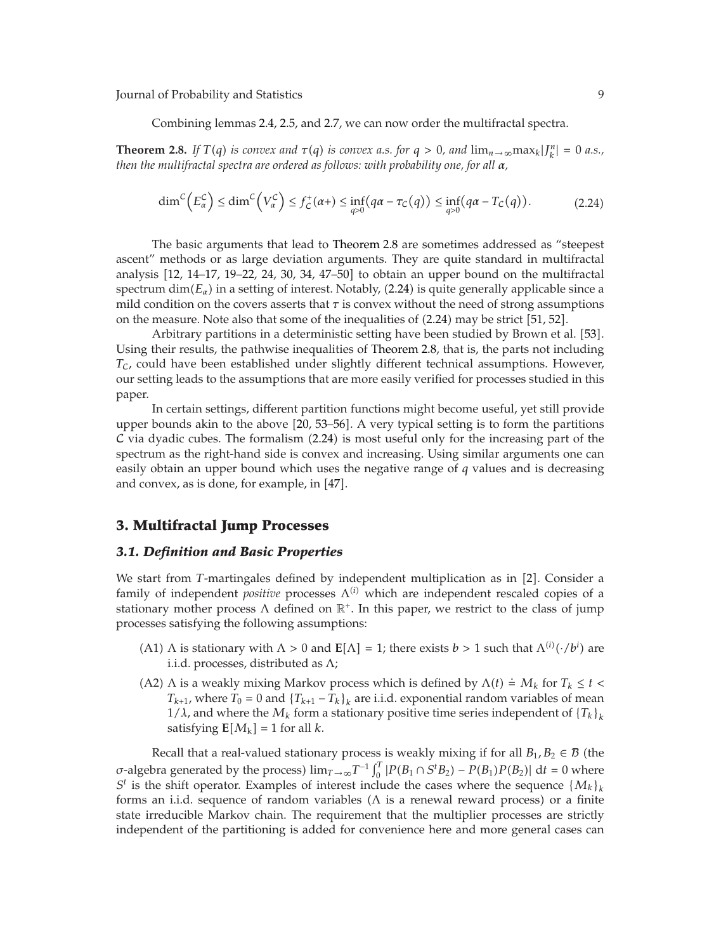Combining lemmas 2.4, 2.5, and 2.7, we can now order the multifractal spectra.

**Theorem 2.8.** If  $T(q)$  is convex and  $\tau(q)$  is convex a.s. for  $q > 0$ , and  $\lim_{n \to \infty} \max_k |f_k^n| = 0$  a.s., *then the multifractal spectra are ordered as follows: with probability one, for all α,*

$$
\dim^{\mathcal{C}}\left(E_{\alpha}^{\mathcal{C}}\right) \leq \dim^{\mathcal{C}}\left(V_{\alpha}^{\mathcal{C}}\right) \leq f_{\mathcal{C}}^{+}(\alpha + ) \leq \inf_{q>0} \left(q\alpha - \tau_{\mathcal{C}}(q)\right) \leq \inf_{q>0} \left(q\alpha - \tau_{\mathcal{C}}(q)\right). \tag{2.24}
$$

The basic arguments that lead to Theorem 2.8 are sometimes addressed as "steepest ascent" methods or as large deviation arguments. They are quite standard in multifractal analysis  $[12, 14-17, 19-22, 24, 30, 34, 47-50]$  to obtain an upper bound on the multifractal  ${\rm spectrum\ dim}(E_\alpha)$  in a setting of interest. Notably, (2.24) is quite generally applicable since a mild condition on the covers asserts that  $\tau$  is convex without the need of strong assumptions on the measure. Note also that some of the inequalities of  $(2.24)$  may be strict  $[51, 52]$ .

Arbitrary partitions in a deterministic setting have been studied by Brown et al. [53]. Using their results, the pathwise inequalities of Theorem 2.8, that is, the parts not including *T<sub>C</sub>*, could have been established under slightly different technical assumptions. However, our setting leads to the assumptions that are more easily verified for processes studied in this paper.

In certain settings, different partition functions might become useful, yet still provide upper bounds akin to the above 20, 53–56. A very typical setting is to form the partitions  $\mathcal C$  via dyadic cubes. The formalism (2.24) is most useful only for the increasing part of the spectrum as the right-hand side is convex and increasing. Using similar arguments one can easily obtain an upper bound which uses the negative range of *q* values and is decreasing and convex, as is done, for example, in  $[47]$ .

#### **3. Multifractal Jump Processes**

#### *3.1. Definition and Basic Properties*

We start from *T*-martingales defined by independent multiplication as in [2]. Consider a family of independent *positive* processes  $Λ<sup>(i)</sup>$  which are independent rescaled copies of a stationary mother process  $\Lambda$  defined on  $\mathbb{R}^+$ . In this paper, we restrict to the class of jump processes satisfying the following assumptions:

- (A1) Λ is stationary with  $Λ > 0$  and  $E[Λ] = 1$ ; there exists  $b > 1$  such that  $Λ<sup>(i)</sup>(·/b<sup>i</sup>)$  are i.i.d. processes, distributed as Λ;
- (A2)  $\Lambda$  is a weakly mixing Markov process which is defined by  $\Lambda(t) \doteq M_k$  for  $T_k \leq t$  $T_{k+1}$ , where  $T_0 = 0$  and  $\{T_{k+1} - T_k\}_k$  are i.i.d. exponential random variables of mean 1/ $\lambda$ , and where the  $M_k$  form a stationary positive time series independent of  ${T_k}_k$ satisfying  $E[M_k] = 1$  for all *k*.

Recall that a real-valued stationary process is weakly mixing if for all  $B_1, B_2 \in \mathcal{B}$  (the *σ*-algebra generated by the process)  $\lim_{T \to \infty} T^{-1} \int_0^T |P(B_1 \cap S^t B_2) - P(B_1)P(B_2)| \, dt = 0$  where  $S<sup>t</sup>$  is the shift operator. Examples of interest include the cases where the sequence  ${M_k}_k$ forms an i.i.d. sequence of random variables ( $\Lambda$  is a renewal reward process) or a finite state irreducible Markov chain. The requirement that the multiplier processes are strictly independent of the partitioning is added for convenience here and more general cases can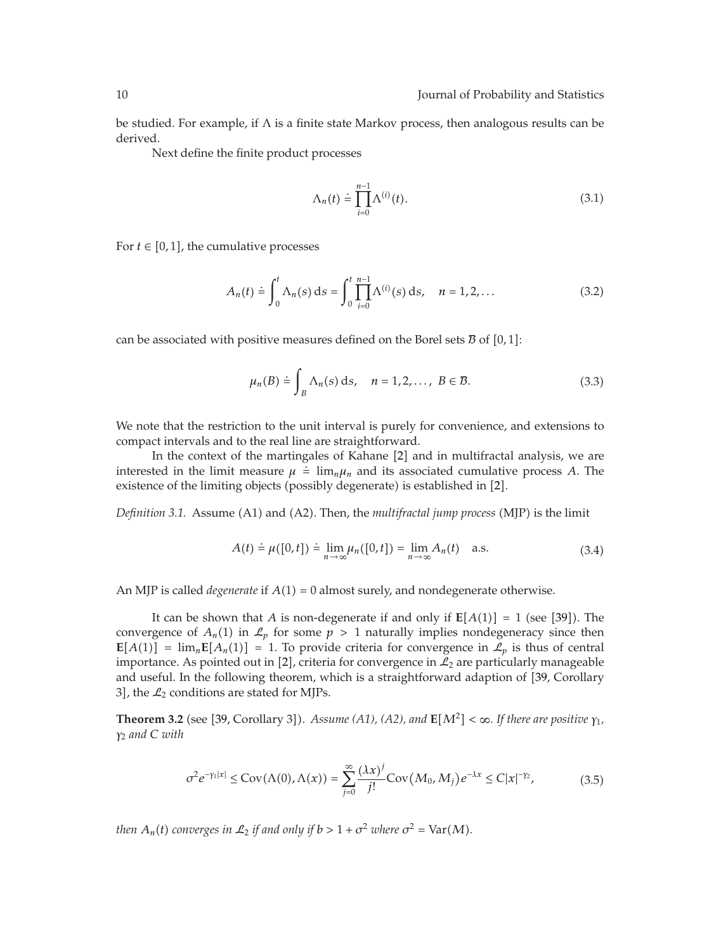be studied. For example, if  $\Lambda$  is a finite state Markov process, then analogous results can be derived.

Next define the finite product processes

$$
\Lambda_n(t) \doteq \prod_{i=0}^{n-1} \Lambda^{(i)}(t). \tag{3.1}
$$

For  $t \in [0, 1]$ , the cumulative processes

$$
A_n(t) \doteq \int_0^t \Lambda_n(s) \, ds = \int_0^t \prod_{i=0}^{n-1} \Lambda^{(i)}(s) \, ds, \quad n = 1, 2, \dots \tag{3.2}
$$

can be associated with positive measures defined on the Borel sets  $\bar{B}$  of  $[0,1]$ :

$$
\mu_n(B) \doteq \int_B \Lambda_n(s) \, \mathrm{d} s, \quad n = 1, 2, \dots, \ B \in \mathcal{B}.\tag{3.3}
$$

We note that the restriction to the unit interval is purely for convenience, and extensions to compact intervals and to the real line are straightforward.

In the context of the martingales of Kahane  $[2]$  and in multifractal analysis, we are interested in the limit measure  $\mu = \lim_{n \to \infty} \mu_n$  and its associated cumulative process *A*. The existence of the limiting objects (possibly degenerate) is established in [2].

Definition 3.1. Assume (A1) and (A2). Then, the *multifractal jump process* (MJP) is the limit

$$
A(t) \doteq \mu([0, t]) \doteq \lim_{n \to \infty} \mu_n([0, t]) = \lim_{n \to \infty} A_n(t) \quad \text{a.s.}
$$
 (3.4)

An MJP is called *degenerate* if  $A(1) = 0$  almost surely, and nondegenerate otherwise.

It can be shown that A is non-degenerate if and only if  $E[A(1)] = 1$  (see [39]). The convergence of  $A_n(1)$  in  $\mathcal{L}_p$  for some  $p > 1$  naturally implies nondegeneracy since then  $\mathbf{E}[A(1)] = \lim_{n} \mathbf{E}[A_n(1)] = 1$ . To provide criteria for convergence in  $\mathcal{L}_p$  is thus of central importance. As pointed out in [2], criteria for convergence in  $\mathcal{L}_2$  are particularly manageable and useful. In the following theorem, which is a straightforward adaption of [39, Corollary 3], the  $\mathcal{L}_2$  conditions are stated for MJPs.

**Theorem 3.2** (see [39, Corollary 3]). Assume (A1), (A2), and  $\mathbb{E}[M^2] < \infty$ . If there are positive  $\gamma_1$ , *γ*<sup>2</sup> *and C with*

$$
\sigma^2 e^{-\gamma_1|x|} \le \text{Cov}(\Lambda(0), \Lambda(x)) = \sum_{j=0}^{\infty} \frac{(\lambda x)^j}{j!} \text{Cov}(M_0, M_j) e^{-\lambda x} \le C|x|^{-\gamma_2},\tag{3.5}
$$

*then*  $A_n(t)$  converges in  $\mathcal{L}_2$  if and only if  $b > 1 + \sigma^2$  where  $\sigma^2 = \text{Var}(M)$ .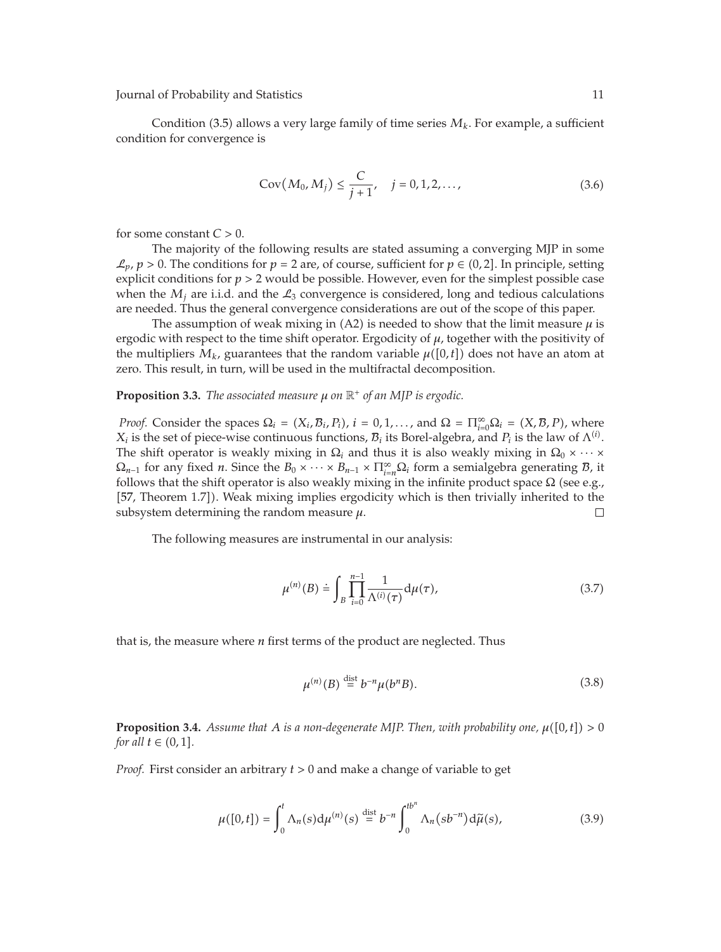Journal of Probability and Statistics 11 and 2012 11 and 2012 11 and 2012 11 and 2012 11 and 2012 11 and 2012 11 and 2012 11 and 2012 11 and 2012 11 and 2012 11 and 2012 11 and 2012 11 and 2012 11 and 2012 11 and 2012 11 a

Condition (3.5) allows a very large family of time series  $M_k$ . For example, a sufficient condition for convergence is

$$
Cov(M_0, M_j) \le \frac{C}{j+1}, \quad j = 0, 1, 2, ..., \tag{3.6}
$$

for some constant *C >* 0.

The majority of the following results are stated assuming a converging MJP in some  $\mathcal{L}_p$ ,  $p > 0$ . The conditions for  $p = 2$  are, of course, sufficient for  $p \in (0, 2]$ . In principle, setting explicit conditions for *p >* 2 would be possible. However, even for the simplest possible case when the  $M_i$  are i.i.d. and the  $\mathcal{L}_3$  convergence is considered, long and tedious calculations are needed. Thus the general convergence considerations are out of the scope of this paper.

The assumption of weak mixing in (A2) is needed to show that the limit measure  $\mu$  is ergodic with respect to the time shift operator. Ergodicity of *μ*, together with the positivity of the multipliers  $M_k$ , guarantees that the random variable  $\mu([0,t])$  does not have an atom at zero. This result, in turn, will be used in the multifractal decomposition.

**Proposition 3.3.** *The associated measure μ on* R *of an MJP is ergodic.*

*Proof.* Consider the spaces  $\Omega_i = (X_i, B_i, P_i)$ ,  $i = 0, 1, ...,$  and  $\Omega = \prod_{i=0}^{\infty} \Omega_i = (X, B, P)$ , where  $X_i$  is the set of piece-wise continuous functions,  $B_i$  its Borel-algebra, and  $P_i$  is the law of  $\Lambda^{(i)}$ . The shift operator is weakly mixing in  $\Omega_i$  and thus it is also weakly mixing in  $\Omega_0 \times \cdots \times$  $\Omega_{n-1}$  for any fixed *n*. Since the  $B_0 \times \cdots \times B_{n-1} \times \prod_{i=n}^{\infty} \Omega_i$  form a semialgebra generating *B*, it follows that the shift operator is also weakly mixing in the infinite product space  $\Omega$  (see e.g., [57, Theorem 1.7]). Weak mixing implies ergodicity which is then trivially inherited to the subsystem determining the random measure *μ*.  $\Box$ 

The following measures are instrumental in our analysis:

$$
\mu^{(n)}(B) \doteq \int_{B} \prod_{i=0}^{n-1} \frac{1}{\Lambda^{(i)}(\tau)} d\mu(\tau), \tag{3.7}
$$

that is, the measure where *n* first terms of the product are neglected. Thus

$$
\mu^{(n)}(B) \stackrel{\text{dist}}{=} b^{-n} \mu(b^n B). \tag{3.8}
$$

**Proposition 3.4.** *Assume that A is a non-degenerate MJP. Then, with probability one,*  $\mu([0,t]) > 0$ *for all*  $t \in (0, 1]$ .

*Proof.* First consider an arbitrary *t >* 0 and make a change of variable to get

$$
\mu([0,t]) = \int_0^t \Lambda_n(s) d\mu^{(n)}(s) \stackrel{\text{dist}}{=} b^{-n} \int_0^{tb^n} \Lambda_n(s b^{-n}) d\widetilde{\mu}(s), \tag{3.9}
$$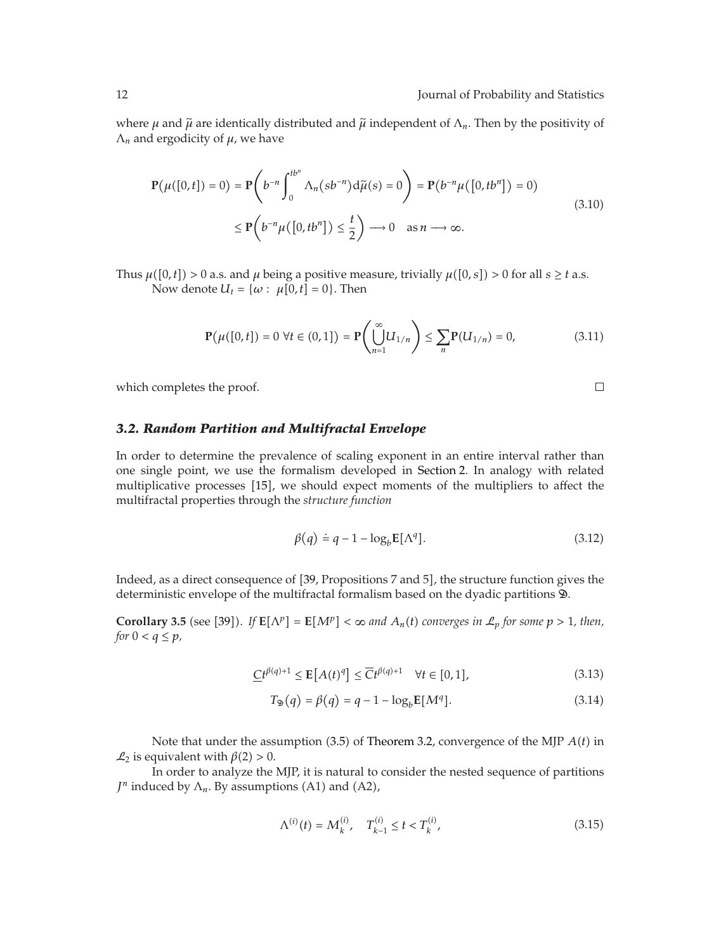$\Box$ 

where  $\mu$  and  $\tilde{\mu}$  are identically distributed and  $\tilde{\mu}$  independent of  $\Lambda_n$ . Then by the positivity of  $\Lambda_n$  and ergodicity of  $\mu$ , we have

$$
\mathbf{P}(\mu([0, t]) = 0) = \mathbf{P}\left(b^{-n} \int_0^{tb^n} \Lambda_n(s b^{-n}) d\tilde{\mu}(s) = 0\right) = \mathbf{P}(b^{-n}\mu([0, tb^n]) = 0)
$$
\n
$$
\leq \mathbf{P}\left(b^{-n}\mu([0, tb^n]) \leq \frac{t}{2}\right) \longrightarrow 0 \quad \text{as } n \longrightarrow \infty.
$$
\n(3.10)

Thus  $\mu([0,t]) > 0$  a.s. and  $\mu$  being a positive measure, trivially  $\mu([0,s]) > 0$  for all  $s \geq t$  a.s. Now denote  $U_t = \{\omega : \mu[0, t] = 0\}$ . Then

$$
\mathbf{P}(\mu([0,t]) = 0 \ \forall t \in (0,1]) = \mathbf{P}\left(\bigcup_{n=1}^{\infty} U_{1/n}\right) \le \sum_{n} \mathbf{P}(U_{1/n}) = 0,
$$
 (3.11)

which completes the proof.

#### *3.2. Random Partition and Multifractal Envelope*

In order to determine the prevalence of scaling exponent in an entire interval rather than one single point, we use the formalism developed in Section 2. In analogy with related multiplicative processes [15], we should expect moments of the multipliers to affect the multifractal properties through the *structure function*

$$
\beta(q) \doteq q - 1 - \log_b \mathbf{E}[\Lambda^q]. \tag{3.12}
$$

Indeed, as a direct consequence of [39, Propositions 7 and 5], the structure function gives the deterministic envelope of the multifractal formalism based on the dyadic partitions  $\mathcal{D}$ .

**Corollary 3.5** (see [39]). If  $E[\Lambda^p] = E[M^p] < \infty$  and  $A_n(t)$  converges in  $\mathcal{L}_p$  for some  $p > 1$ , then, *for*  $0 < q \leq p$ *,* 

$$
\underline{C}t^{\beta(q)+1} \le \mathbf{E}\left[A(t)^q\right] \le \overline{C}t^{\beta(q)+1} \quad \forall t \in [0,1],\tag{3.13}
$$

$$
T_{\mathfrak{D}}(q) = \beta(q) = q - 1 - \log_b E[M^q].
$$
\n(3.14)

Note that under the assumption (3.5) of Theorem 3.2, convergence of the MJP  $A(t)$  in  $\mathcal{L}_2$  is equivalent with  $\beta(2) > 0$ .

In order to analyze the MJP, it is natural to consider the nested sequence of partitions *J<sup>n</sup>* induced by  $\Lambda_n$ . By assumptions (A1) and (A2),

$$
\Lambda^{(i)}(t) = M_k^{(i)}, \quad T_{k-1}^{(i)} \le t < T_k^{(i)}\tag{3.15}
$$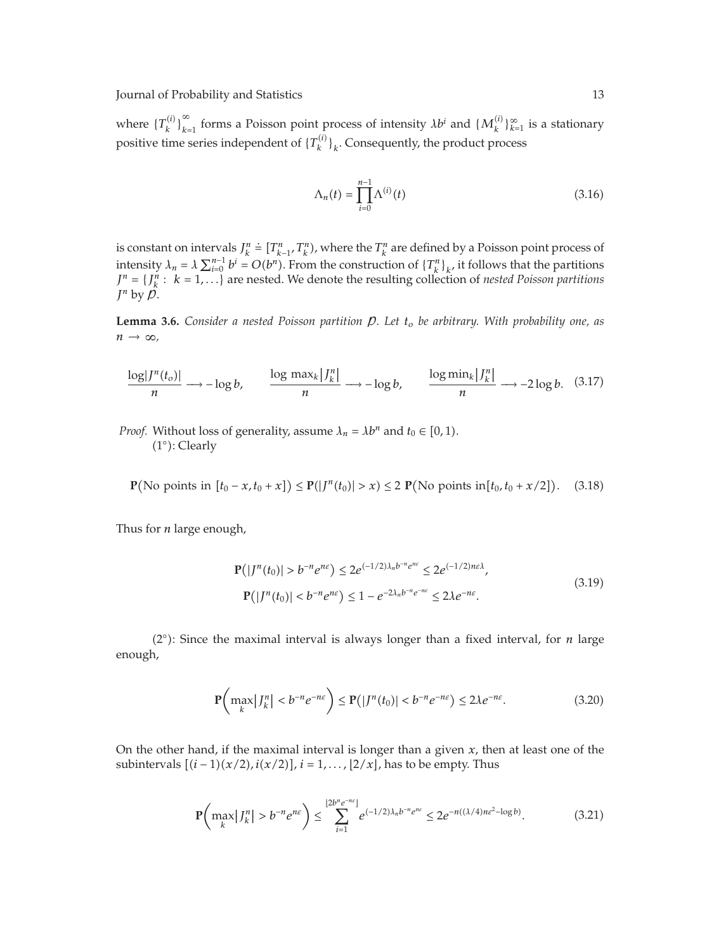where  ${T_k^{(i)}}_{k=1}^{\infty}$  forms a Poisson point process of intensity  $\lambda b^i$  and  ${M_k^{(i)}}_{k=1}^{\infty}$  is a stationary positive time series independent of  ${T_k^{(i)}}_k$ . Consequently, the product process

$$
\Lambda_n(t) = \prod_{i=0}^{n-1} \Lambda^{(i)}(t)
$$
\n(3.16)

is constant on intervals  $J_k^n$  $\dot{=}$   $[T_{k-1}^n, T_k^n)$ , where the  $T_k^n$  are defined by a Poisson point process of intensity  $\lambda_n = \lambda \sum_{i=0}^{n-1} b^i = O(b^n)$ . From the construction of  $\{T_k^n\}_{k'}$  it follows that the partitions  $J^n = \{J^n_k : k = 1, ...\}$  are nested. We denote the resulting collection of *nested Poisson partitions*  $J^n$  by  $\mathcal{D}$ .

**Lemma 3.6.** *Consider a nested Poisson partition* P*. Let to be arbitrary. With probability one, as n* → ∞*,*

$$
\frac{\log |J^n(t_o)|}{n} \longrightarrow -\log b, \qquad \frac{\log \max_k |J_k^n|}{n} \longrightarrow -\log b, \qquad \frac{\log \min_k |J_k^n|}{n} \longrightarrow -2\log b. \tag{3.17}
$$

*Proof.* Without loss of generality, assume  $\lambda_n = \lambda b^n$  and  $t_0 \in [0, 1)$ . (1°): Clearly

$$
\mathbf{P}(\text{No points in } [t_0 - x, t_0 + x]) \le \mathbf{P}(|J^n(t_0)| > x) \le 2 \mathbf{P}(\text{No points in } [t_0, t_0 + x/2]). \tag{3.18}
$$

Thus for *n* large enough,

$$
\mathbf{P}(|J^n(t_0)| > b^{-n}e^{n\epsilon}) \le 2e^{(-1/2)\lambda_n b^{-n}e^{n\epsilon}} \le 2e^{(-1/2)n\epsilon\lambda},
$$
\n
$$
\mathbf{P}(|J^n(t_0)| < b^{-n}e^{n\epsilon}) \le 1 - e^{-2\lambda_n b^{-n}e^{-n\epsilon}} \le 2\lambda e^{-n\epsilon}.
$$
\n(3.19)

(2°): Since the maximal interval is always longer than a fixed interval, for *n* large enough,

$$
\mathbf{P}\left(\max_{k} |J_{k}^{n}| < b^{-n} e^{-n\varepsilon}\right) \le \mathbf{P}\left(|J^{n}(t_{0})| < b^{-n} e^{-n\varepsilon}\right) \le 2\lambda e^{-n\varepsilon}.\tag{3.20}
$$

On the other hand, if the maximal interval is longer than a given *x*, then at least one of the subintervals  $[(i - 1)(x/2), i(x/2)], i = 1, ..., [2/x]$ , has to be empty. Thus

$$
\mathbb{P}\left(\max_{k} |J_{k}^{n}| > b^{-n} e^{n\varepsilon}\right) \le \sum_{i=1}^{\lfloor 2b^{n} e^{-n\varepsilon} \rfloor} e^{(-1/2)\lambda_{n} b^{-n} e^{n\varepsilon}} \le 2e^{-n((\lambda/4)n\varepsilon^{2}-\log b)}.\tag{3.21}
$$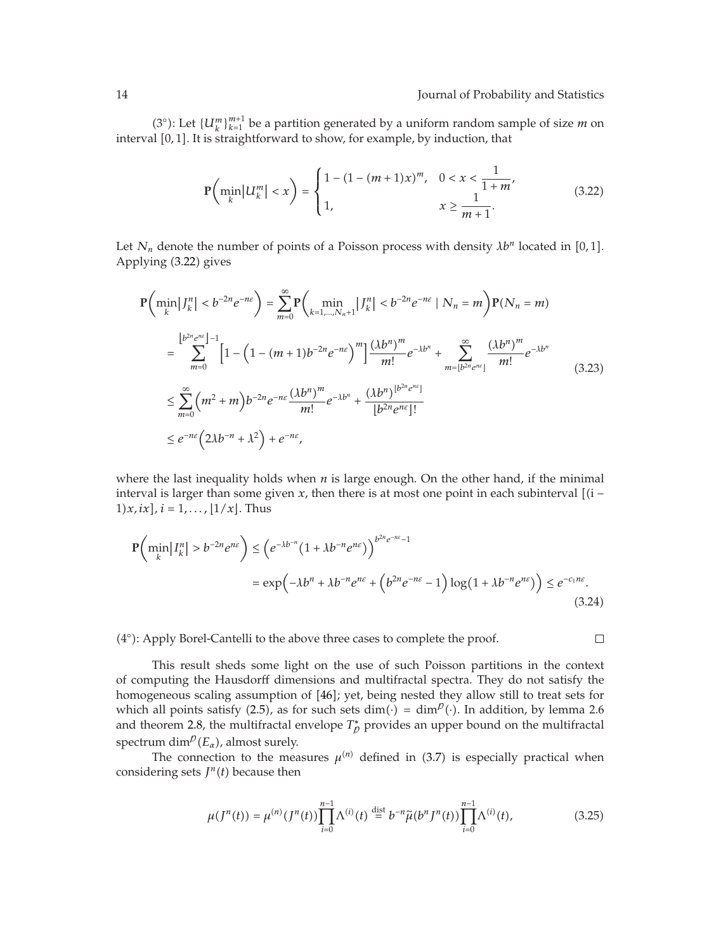(3°): Let  $\{U_k^m\}_{k=1}^{m+1}$  be a partition generated by a uniform random sample of size *m* on interval [0,1]. It is straightforward to show, for example, by induction, that

$$
\mathbb{P}\left(\min_{k} |U_{k}^{m}| < x\right) = \begin{cases} 1 - (1 - (m+1)x)^{m}, & 0 < x < \frac{1}{1+m}, \\ 1, & x \ge \frac{1}{m+1}. \end{cases} \tag{3.22}
$$

Let  $N_n$  denote the number of points of a Poisson process with density  $\lambda b^n$  located in [0,1]. Applying (3.22) gives

$$
P\left(\min_{k} |J_{k}^{n}| < b^{-2n} e^{-n\epsilon}\right) = \sum_{m=0}^{\infty} P\left(\min_{k=1,\dots,N_{n}+1} |J_{k}^{n}| < b^{-2n} e^{-n\epsilon} | N_{n} = m\right) P(N_{n} = m)
$$
  
\n
$$
= \sum_{m=0}^{\lfloor b^{2n} e^{n\epsilon} \rfloor - 1} \left[1 - \left(1 - (m+1) b^{-2n} e^{-n\epsilon}\right)^{m}\right] \frac{(\lambda b^{n})^{m}}{m!} e^{-\lambda b^{n}} + \sum_{m=\lfloor b^{2n} e^{n\epsilon} \rfloor}^{\infty} \frac{(\lambda b^{n})^{m}}{m!} e^{-\lambda b^{n}}
$$
  
\n
$$
\leq \sum_{m=0}^{\infty} \left(m^{2} + m\right) b^{-2n} e^{-n\epsilon} \frac{(\lambda b^{n})^{m}}{m!} e^{-\lambda b^{n}} + \frac{(\lambda b^{n})^{\lfloor b^{2n} e^{n\epsilon} \rfloor}}{\lfloor b^{2n} e^{n\epsilon} \rfloor!}
$$
  
\n
$$
\leq e^{-n\epsilon} \left(2\lambda b^{-n} + \lambda^{2}\right) + e^{-n\epsilon},
$$
\n(3.23)

where the last inequality holds when *n* is large enough. On the other hand, if the minimal interval is larger than some given  $x$ , then there is at most one point in each subinterval  $[(i -$ 1)  $x$ ,  $ix$ ,  $i = 1, ...,$   $\lfloor 1/x \rfloor$ . Thus

$$
\mathbf{P}\left(\min_{k} |I_{k}^{n}| > b^{-2n} e^{n\varepsilon}\right) \leq \left(e^{-\lambda b^{-n}} \left(1 + \lambda b^{-n} e^{n\varepsilon}\right)\right)^{b^{2n} e^{-n\varepsilon} - 1}
$$
\n
$$
= \exp\left(-\lambda b^{n} + \lambda b^{-n} e^{n\varepsilon} + \left(b^{2n} e^{-n\varepsilon} - 1\right) \log\left(1 + \lambda b^{-n} e^{n\varepsilon}\right)\right) \leq e^{-c_1 n\varepsilon}.\tag{3.24}
$$

(4°): Apply Borel-Cantelli to the above three cases to complete the proof.

 $\Box$ 

This result sheds some light on the use of such Poisson partitions in the context of computing the Hausdorff dimensions and multifractal spectra. They do not satisfy the homogeneous scaling assumption of [46]; yet, being nested they allow still to treat sets for which all points satisfy (2.5), as for such sets dim( $\cdot$ ) = dim $^{\circ}$ ( $\cdot$ ). In addition, by lemma 2.6 and theorem 2.8, the multifractal envelope  $T^*_{\rho}$  provides an upper bound on the multifractal spectrum  $\dim^p(E_\alpha)$ , almost surely.

The connection to the measures  $\mu^{(n)}$  defined in (3.7) is especially practical when considering sets  $J<sup>n</sup>(t)$  because then

$$
\mu(J^{n}(t)) = \mu^{(n)}(J^{n}(t)) \prod_{i=0}^{n-1} \Lambda^{(i)}(t) \stackrel{\text{dist}}{=} b^{-n} \tilde{\mu}(b^{n} J^{n}(t)) \prod_{i=0}^{n-1} \Lambda^{(i)}(t), \qquad (3.25)
$$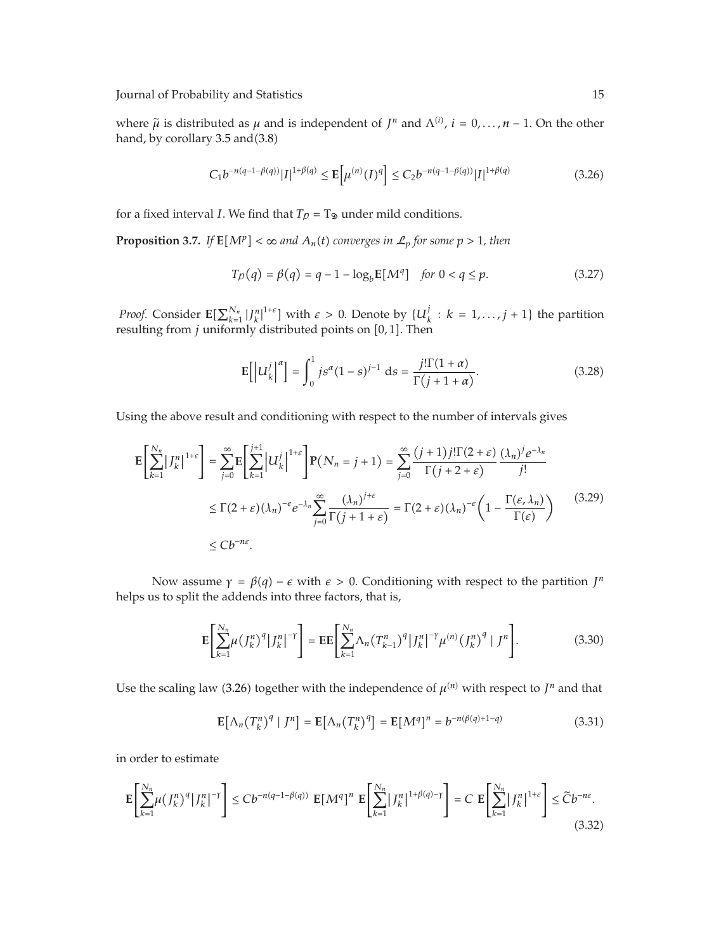where  $\tilde{\mu}$  is distributed as  $\mu$  and is independent of *J<sup>n</sup>* and  $\Lambda^{(i)}$ ,  $i = 0, \ldots, n-1$ . On the other hand, by corollary  $3.5$  and $(3.8)$ 

$$
C_1 b^{-n(q-1-\beta(q))} |I|^{1+\beta(q)} \le \mathbb{E}\left[\mu^{(n)}(I)^q\right] \le C_2 b^{-n(q-1-\beta(q))} |I|^{1+\beta(q)} \tag{3.26}
$$

for a fixed interval *I*. We find that  $T_p = T_{\mathcal{D}}$  under mild conditions.

**Proposition 3.7.** *If*  $\mathbf{E}[M^p] < \infty$  and  $A_n(t)$  converges in  $\mathcal{L}_p$  for some  $p > 1$ , then

$$
T_p(q) = \beta(q) = q - 1 - \log_b E[M^q] \quad \text{for } 0 < q \le p. \tag{3.27}
$$

*Proof.* Consider  $\mathbb{E}[\sum_{k=1}^{N_n} |J_k^n|^{1+\varepsilon}]$  with  $\varepsilon > 0$ . Denote by  $\{U_k^j : k = 1, ..., j+1\}$  the partition resulting from *j* uniformly distributed points on [0,1]. Then

$$
\mathbb{E}\left[\left|U_k^j\right|^{\alpha}\right] = \int_0^1 j s^{\alpha} (1-s)^{j-1} \, \mathrm{d}s = \frac{j! \Gamma(1+\alpha)}{\Gamma(j+1+\alpha)}.\tag{3.28}
$$

Using the above result and conditioning with respect to the number of intervals gives

$$
\mathbf{E}\left[\sum_{k=1}^{N_n} |J_k^n|^{1+\varepsilon}\right] = \sum_{j=0}^{\infty} \mathbf{E}\left[\sum_{k=1}^{j+1} |U_k^j|^{1+\varepsilon}\right] \mathbf{P}(N_n = j+1) = \sum_{j=0}^{\infty} \frac{(j+1)j!\Gamma(2+\varepsilon)}{\Gamma(j+2+\varepsilon)} \frac{(\lambda_n)^j e^{-\lambda_n}}{j!}
$$
  

$$
\leq \Gamma(2+\varepsilon)(\lambda_n)^{-\varepsilon} e^{-\lambda_n} \sum_{j=0}^{\infty} \frac{(\lambda_n)^{j+\varepsilon}}{\Gamma(j+1+\varepsilon)} = \Gamma(2+\varepsilon)(\lambda_n)^{-\varepsilon} \left(1 - \frac{\Gamma(\varepsilon, \lambda_n)}{\Gamma(\varepsilon)}\right) \tag{3.29}
$$
  

$$
\leq C b^{-n\varepsilon}.
$$

Now assume  $\gamma = \beta(q) - \epsilon$  with  $\epsilon > 0$ . Conditioning with respect to the partition  $J^n$ helps us to split the addends into three factors, that is,

$$
\mathbf{E}\left[\sum_{k=1}^{N_n} \mu(f_k^n)^q |J_k^n|^{-\gamma}\right] = \mathbf{E}\mathbf{E}\left[\sum_{k=1}^{N_n} \Lambda_n(T_{k-1}^n)^q |J_k^n|^{-\gamma} \mu^{(n)}(J_k^n)^q |J^n\right].
$$
 (3.30)

Use the scaling law (3.26) together with the independence of  $\mu^{(n)}$  with respect to  $J^n$  and that

$$
\mathbf{E}\left[\Lambda_n(T_k^n)^q \mid J^n\right] = \mathbf{E}\left[\Lambda_n(T_k^n)^q\right] = \mathbf{E}[M^q]^n = b^{-n(\beta(q)+1-q)}\tag{3.31}
$$

in order to estimate

$$
\mathbf{E}\left[\sum_{k=1}^{N_n} \mu\left(J_k^n\right)^q |J_k^n|^{-\gamma}\right] \le C b^{-n(q-1-\beta(q))} \mathbf{E}[M^q]^n \mathbf{E}\left[\sum_{k=1}^{N_n} |J_k^n|^{1+\beta(q)-\gamma}\right] = C \mathbf{E}\left[\sum_{k=1}^{N_n} |J_k^n|^{1+\varepsilon}\right] \le \widetilde{C} b^{-n\varepsilon}.
$$
\n(3.32)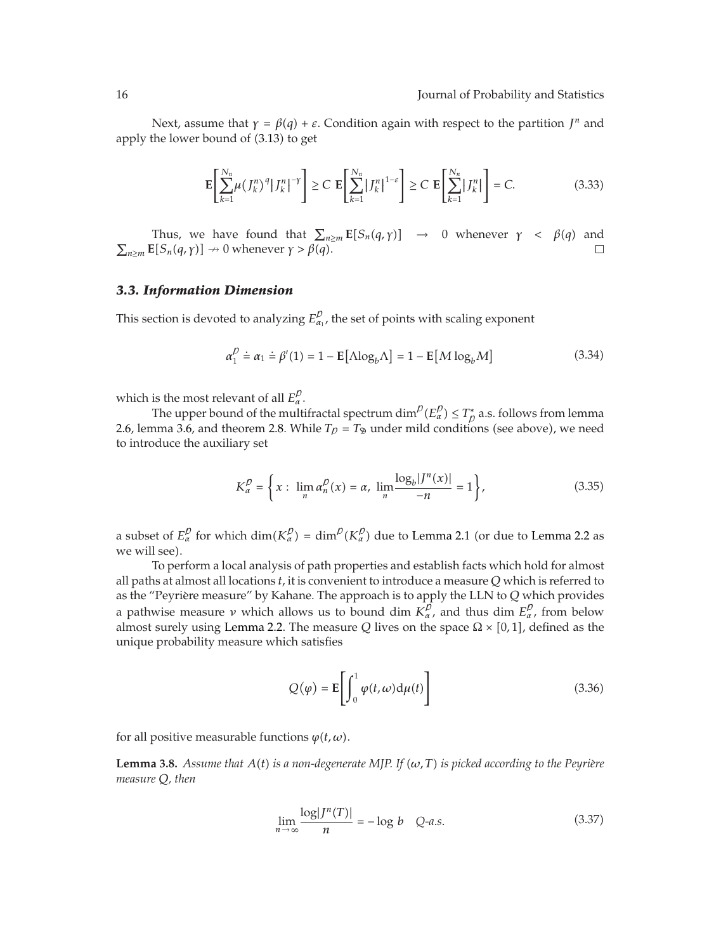Next, assume that  $\gamma = \beta(q) + \varepsilon$ . Condition again with respect to the partition *J<sup>n</sup>* and apply the lower bound of (3.13) to get

$$
\mathbf{E}\left[\sum_{k=1}^{N_n}\mu\left(\left|\int_{k}^{n}\right)^{q}\right|\left|\int_{k}^{n}\right|^{-\gamma}\right]\geq C\mathbf{E}\left[\sum_{k=1}^{N_n}\left|\left|\int_{k}^{n}\right|\right|^{1-\varepsilon}\right]\geq C\mathbf{E}\left[\sum_{k=1}^{N_n}\left|\int_{k}^{n}\right|\right]=C.\tag{3.33}
$$

Thus, we have found that  $\sum_{n\geq m}$  **E**[ $S_n(q,\gamma)$ ]  $\rightarrow$  0 whenever  $\gamma < \beta(q)$  and  $\sum_{n \ge m}$  **E** $[S_n(q, \gamma)] \rightarrow 0$  whenever  $\gamma > \beta(q)$ .  $\Box$ 

#### *3.3. Information Dimension*

This section is devoted to analyzing  $E_{\alpha_1}^{\rho}$ , the set of points with scaling exponent

$$
\alpha_1^D \doteq \alpha_1 \doteq \beta'(1) = 1 - \mathbb{E}[\Delta \log_b \Delta] = 1 - \mathbb{E}[M \log_b M] \tag{3.34}
$$

which is the most relevant of all  $E^p_\alpha$ .

The upper bound of the multifractal spectrum  $\dim^{\!p}(E^{\not D}_\alpha)\leq T^*_D$  a.s. follows from lemma 2.6, lemma 3.6, and theorem 2.8. While  $T_{\mathcal{D}} = T_{\mathfrak{D}}$  under mild conditions (see above), we need to introduce the auxiliary set

$$
K_{\alpha}^{p} = \left\{ x : \lim_{n} \alpha_{n}^{p}(x) = \alpha, \lim_{n} \frac{\log_{b} |J^{n}(x)|}{-n} = 1 \right\},
$$
\n(3.35)

a subset of  $E_\alpha^p$  for which dim $(K_\alpha^p) = \dim^p(K_\alpha^p)$  due to Lemma 2.1 (or due to Lemma 2.2 as we will see).

To perform a local analysis of path properties and establish facts which hold for almost all paths at almost all locations *t*, it is convenient to introduce a measure *Q* which is referred to as the "Peyrière measure" by Kahane. The approach is to apply the LLN to Q which provides a pathwise measure *ν* which allows us to bound dim  $K_{\alpha}^p$ , and thus dim  $E_{\alpha}^p$ , from below almost surely using Lemma 2.2. The measure *Q* lives on the space  $\Omega \times [0,1]$ , defined as the unique probability measure which satisfies

$$
Q(\varphi) = \mathbf{E}\left[\int_0^1 \varphi(t, \omega) \mathrm{d}\mu(t)\right]
$$
 (3.36)

for all positive measurable functions  $\varphi(t,\omega)$ .

**Lemma 3.8.** Assume that  $A(t)$  is a non-degenerate MJP. If  $(\omega, T)$  is picked according to the Peyrière *measure Q, then*

$$
\lim_{n \to \infty} \frac{\log |J^n(T)|}{n} = -\log b \quad Q-a.s.
$$
\n(3.37)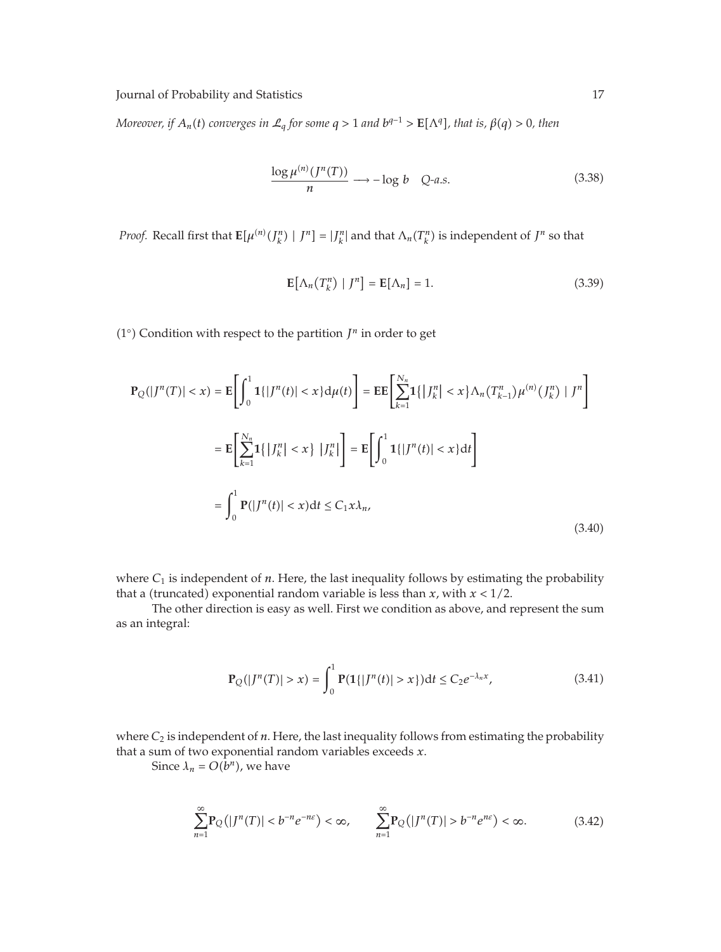*Moreover, if*  $A_n(t)$  converges in  $\mathcal{L}_q$  for some  $q > 1$  and  $b^{q-1} > \mathbf{E}[\Lambda^q]$ , that is,  $\beta(q) > 0$ , then

$$
\frac{\log \mu^{(n)}(J^n(T))}{n} \longrightarrow -\log b \quad Q\text{-}a.s.\tag{3.38}
$$

*Proof.* Recall first that  $E[\mu^{(n)}(J_k^n) | J^n] = |J_k^n|$  and that  $\Lambda_n(T_k^n)$  is independent of  $J^n$  so that

$$
\mathbf{E}\left[\Lambda_n(T_k^n) \mid J^n\right] = \mathbf{E}[\Lambda_n] = 1. \tag{3.39}
$$

( $1°$ ) Condition with respect to the partition  $J<sup>n</sup>$  in order to get

$$
\mathbf{P}_{Q}(|J^{n}(T)| < x) = \mathbf{E}\left[\int_{0}^{1} \mathbf{1}\{|J^{n}(t)| < x\} d\mu(t)\right] = \mathbf{E}\mathbf{E}\left[\sum_{k=1}^{N_{n}} \mathbf{1}\{|J_{k}^{n}| < x\} \Lambda_{n}(T_{k-1}^{n})\mu^{(n)}(J_{k}^{n}) | J^{n}\right]
$$
\n
$$
= \mathbf{E}\left[\sum_{k=1}^{N_{n}} \mathbf{1}\{|J_{k}^{n}| < x\} |J_{k}^{n}|\right] = \mathbf{E}\left[\int_{0}^{1} \mathbf{1}\{|J^{n}(t)| < x\} dt\right]
$$
\n
$$
= \int_{0}^{1} \mathbf{P}(|J^{n}(t)| < x) dt \le C_{1} x \lambda_{n},
$$
\n(3.40)

where  $C_1$  is independent of  $n$ . Here, the last inequality follows by estimating the probability that a (truncated) exponential random variable is less than *x*, with  $x < 1/2$ .

The other direction is easy as well. First we condition as above, and represent the sum as an integral:

$$
\mathbf{P}_{Q}(|J^{n}(T)| > x) = \int_{0}^{1} \mathbf{P}(1\{|J^{n}(t)| > x\})dt \le C_{2}e^{-\lambda_{n}x},
$$
\n(3.41)

where  $C_2$  is independent of  $n$ . Here, the last inequality follows from estimating the probability that a sum of two exponential random variables exceeds *x*.

Since  $\lambda_n = O(b^n)$ , we have

$$
\sum_{n=1}^{\infty} \mathbf{P}_{\mathcal{Q}}(|J^n(T)| < b^{-n}e^{-n\varepsilon}) < \infty, \qquad \sum_{n=1}^{\infty} \mathbf{P}_{\mathcal{Q}}(|J^n(T)| > b^{-n}e^{n\varepsilon}) < \infty. \tag{3.42}
$$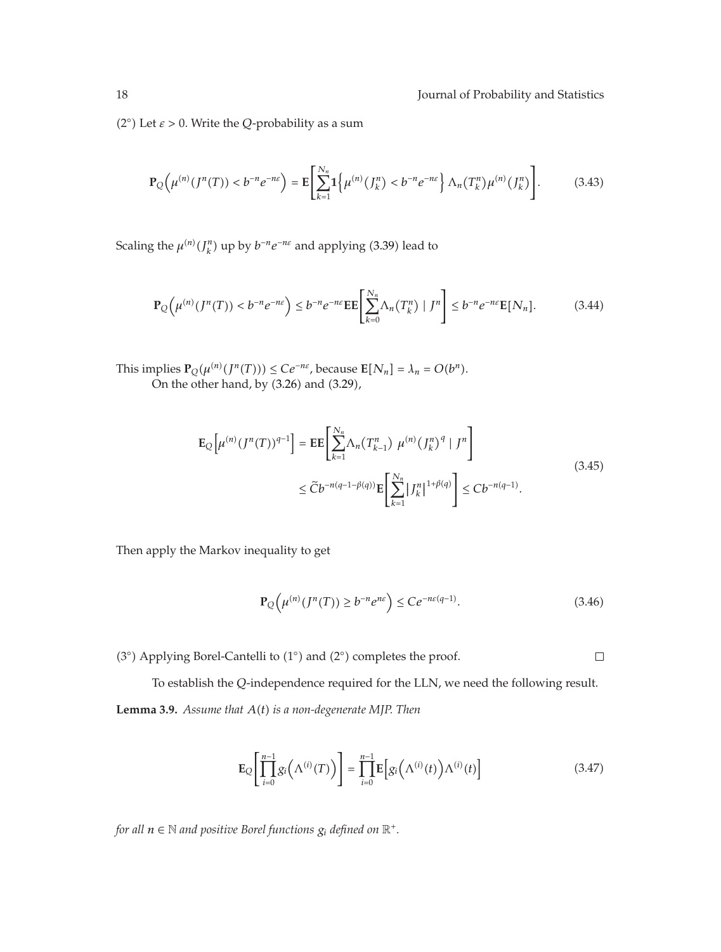( $2^\circ$ ) Let  $\varepsilon > 0$ . Write the *Q*-probability as a sum

$$
\mathbf{P}_{Q}\left(\mu^{(n)}(J^{n}(T)) < b^{-n}e^{-n\varepsilon}\right) = \mathbf{E}\left[\sum_{k=1}^{N_{n}}\mathbf{1}\left\{\mu^{(n)}(J_{k}^{n}) < b^{-n}e^{-n\varepsilon}\right\}\Lambda_{n}(T_{k}^{n})\mu^{(n)}(J_{k}^{n})\right].\tag{3.43}
$$

Scaling the  $\mu^{(n)}(J_k^n)$  up by  $b^{-n}e^{-n\epsilon}$  and applying (3.39) lead to

$$
\mathbf{P}_{\mathcal{Q}}\left(\mu^{(n)}(J^n(T)) < b^{-n}e^{-n\varepsilon}\right) \le b^{-n}e^{-n\varepsilon}\mathbf{E}\left[\sum_{k=0}^{N_n} \Lambda_n(T_k^n) \mid J^n\right] \le b^{-n}e^{-n\varepsilon}\mathbf{E}[N_n].\tag{3.44}
$$

This implies  $\mathbf{P}_Q(\mu^{(n)}(J^n(T))) \le Ce^{-n\varepsilon}$ , because  $\mathbf{E}[N_n] = \lambda_n = O(b^n)$ . On the other hand, by  $(3.26)$  and  $(3.29)$ ,

$$
\mathbf{E}_{Q}\left[\mu^{(n)}(J^{n}(T))^{q-1}\right] = \mathbf{E}\mathbf{E}\left[\sum_{k=1}^{N_{n}}\Lambda_{n}(T_{k-1}^{n})\ \mu^{(n)}(J_{k}^{n})^{q} | J^{n}\right] \leq \widetilde{C}b^{-n(q-1-\beta(q))}\mathbf{E}\left[\sum_{k=1}^{N_{n}}|J_{k}^{n}|^{1+\beta(q)}\right] \leq Cb^{-n(q-1)}.
$$
\n(3.45)

Then apply the Markov inequality to get

$$
\mathbf{P}_{Q}\left(\mu^{(n)}(J^{n}(T)) \ge b^{-n}e^{n\varepsilon}\right) \le Ce^{-n\varepsilon(q-1)}.\tag{3.46}
$$

(3°) Applying Borel-Cantelli to (1°) and (2°) completes the proof.

 $\Box$ 

To establish the *Q*-independence required for the LLN, we need the following result. **Lemma 3.9.** *Assume that A*-*t is a non-degenerate MJP. Then*

$$
\mathbf{E}_{Q}\left[\prod_{i=0}^{n-1}g_{i}\left(\Lambda^{(i)}(T)\right)\right]=\prod_{i=0}^{n-1}\mathbf{E}\left[g_{i}\left(\Lambda^{(i)}(t)\right)\Lambda^{(i)}(t)\right]
$$
(3.47)

for all  $n \in \mathbb{N}$  and positive Borel functions  $g_i$  defined on  $\mathbb{R}^+$ .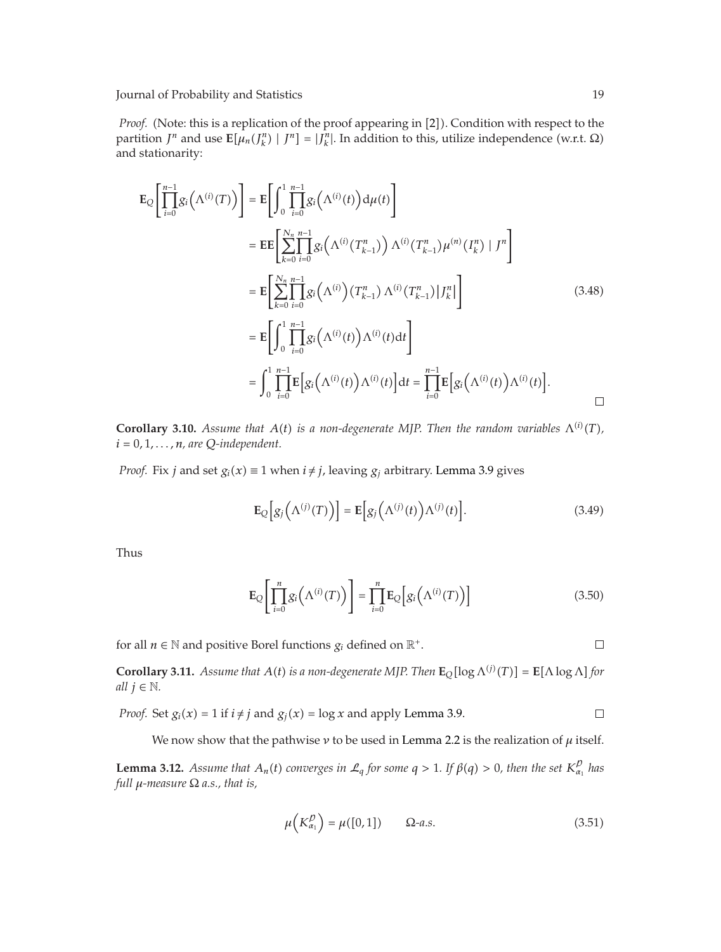*Proof.* (Note: this is a replication of the proof appearing in [2]). Condition with respect to the partition *J<sup>n</sup>* and use **E**[ $μ_n$ (*J<sub>h</sub>*<sup>n</sup>) | *J<sup>n</sup>*] = |*J<sub>h</sub>*<sup>n</sup></mark>]. In addition to this, utilize independence (w.r.t. Ω) and stationarity:

$$
\mathbf{E}_{Q}\left[\prod_{i=0}^{n-1}g_{i}\left(\Lambda^{(i)}(T)\right)\right] = \mathbf{E}\left[\int_{0}^{1}\prod_{i=0}^{n-1}g_{i}\left(\Lambda^{(i)}(t)\right)d\mu(t)\right]
$$
\n
$$
= \mathbf{E}\mathbf{E}\left[\sum_{k=0}^{N_{n}}\prod_{i=0}^{n-1}g_{i}\left(\Lambda^{(i)}(T_{k-1}^{n})\right)\Lambda^{(i)}(T_{k-1}^{n})\mu^{(n)}(I_{k}^{n}) | J^{n}\right]
$$
\n
$$
= \mathbf{E}\left[\sum_{k=0}^{N_{n}}\prod_{i=0}^{n-1}g_{i}\left(\Lambda^{(i)}\right)(T_{k-1}^{n})\Lambda^{(i)}(T_{k-1}^{n}) | J_{k}^{n}|\right]
$$
\n
$$
= \mathbf{E}\left[\int_{0}^{1}\prod_{i=0}^{n-1}g_{i}\left(\Lambda^{(i)}(t)\right)\Lambda^{(i)}(t)dt\right]
$$
\n
$$
= \int_{0}^{1}\prod_{i=0}^{n-1}\mathbf{E}\left[g_{i}\left(\Lambda^{(i)}(t)\right)\Lambda^{(i)}(t)\right]dt = \prod_{i=0}^{n-1}\mathbf{E}\left[g_{i}\left(\Lambda^{(i)}(t)\right)\Lambda^{(i)}(t)\right].
$$
\n
$$
\Box
$$

**Corollary 3.10.** Assume that  $A(t)$  is a non-degenerate MJP. Then the random variables  $\Lambda^{(i)}(T)$ ,  $i = 0, 1, \ldots, n$ *, are Q-independent.* 

*Proof.* Fix *j* and set  $g_i(x) \equiv 1$  when  $i \neq j$ , leaving  $g_j$  arbitrary. Lemma 3.9 gives

$$
\mathbf{E}_{Q}\left[g_{j}\left(\Lambda^{(j)}(T)\right)\right] = \mathbf{E}\left[g_{j}\left(\Lambda^{(j)}(t)\right)\Lambda^{(j)}(t)\right].
$$
\n(3.49)

Thus

$$
\mathbf{E}_{Q}\left[\prod_{i=0}^{n}g_{i}\left(\Lambda^{(i)}(T)\right)\right]=\prod_{i=0}^{n}\mathbf{E}_{Q}\left[g_{i}\left(\Lambda^{(i)}(T)\right)\right]
$$
(3.50)

for all  $n \in \mathbb{N}$  and positive Borel functions  $g_i$  defined on  $\mathbb{R}^+$ .

 $\Box$ 

**Corollary 3.11.** *Assume that*  $A(t)$  *is a non-degenerate* MJP. Then  $\mathbf{E}_{Q}[\log \Lambda^{(j)}(T)] = \mathbf{E}[\Lambda \log \Lambda]$  for *all*  $j \in \mathbb{N}$ *.* 

*Proof.* Set 
$$
g_i(x) = 1
$$
 if  $i \neq j$  and  $g_j(x) = \log x$  and apply Lemma 3.9.

We now show that the pathwise  $\nu$  to be used in Lemma 2.2 is the realization of  $\mu$  itself.

**Lemma 3.12.** Assume that  $A_n(t)$  converges in  $\mathcal{L}_q$  for some  $q > 1$ . If  $\beta(q) > 0$ , then the set  $K_{\alpha_1}^p$  has *full μ-measure* Ω *a.s., that is,*

$$
\mu\left(K_{\alpha_1}^{\mathcal{D}}\right) = \mu([0,1]) \qquad \Omega \text{-} a.s. \tag{3.51}
$$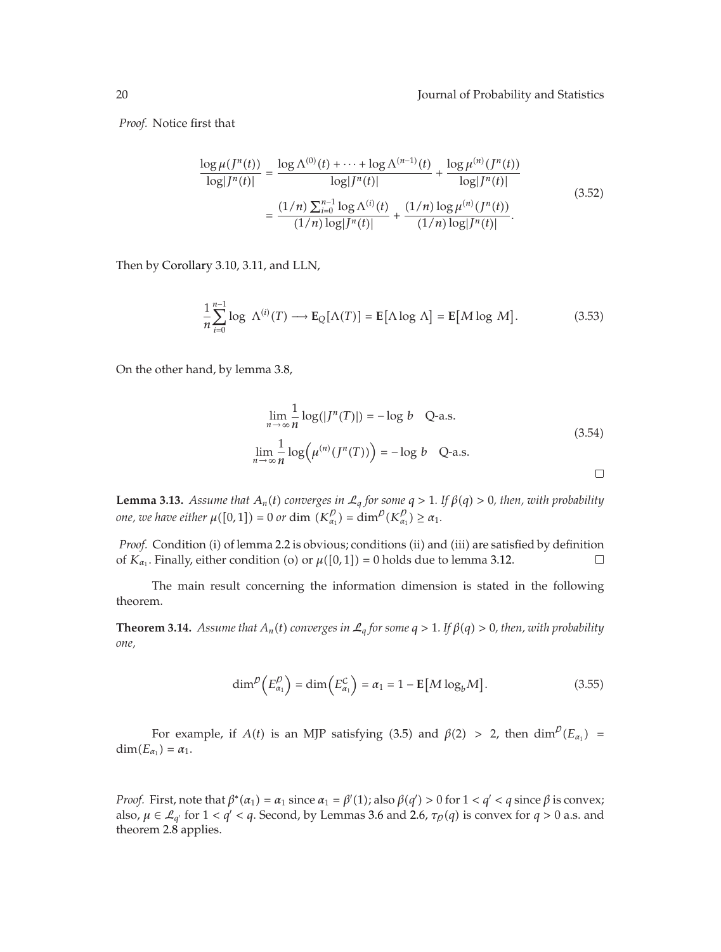*Proof.* Notice first that

$$
\frac{\log \mu(f^n(t))}{\log |J^n(t)|} = \frac{\log \Lambda^{(0)}(t) + \dots + \log \Lambda^{(n-1)}(t)}{\log |J^n(t)|} + \frac{\log \mu^{(n)}(f^n(t))}{\log |J^n(t)|}
$$
\n
$$
= \frac{(1/n) \sum_{i=0}^{n-1} \log \Lambda^{(i)}(t)}{(1/n) \log |J^n(t)|} + \frac{(1/n) \log \mu^{(n)}(f^n(t))}{(1/n) \log |J^n(t)|}. \tag{3.52}
$$

Then by Corollary 3.10, 3.11, and LLN,

$$
\frac{1}{n}\sum_{i=0}^{n-1}\log \,\Lambda^{(i)}(T)\longrightarrow \mathbf{E}_{Q}[\Lambda(T)] = \mathbf{E}[\Lambda \log \Lambda] = \mathbf{E}[M \log M].\tag{3.53}
$$

On the other hand, by lemma 3.8,

$$
\lim_{n \to \infty} \frac{1}{n} \log(|J^n(T)|) = -\log b \quad \text{Q-a.s.}
$$
\n
$$
\lim_{n \to \infty} \frac{1}{n} \log(\mu^{(n)}(J^n(T))) = -\log b \quad \text{Q-a.s.}
$$
\n(3.54)

**Lemma 3.13.** *Assume that*  $A_n(t)$  *converges in*  $\mathcal{L}_q$  *for some*  $q > 1$ *. If*  $\beta(q) > 0$ *, then, with probability one, we have either*  $\mu([0,1]) = 0$  *or* dim  $(K_{\alpha_1}^p) = \dim^p(K_{\alpha_1}^p) \ge \alpha_1$ .

*Proof.* Condition (i) of lemma 2.2 is obvious; conditions (ii) and (iii) are satisfied by definition of  $K_{\alpha_1}$ . Finally, either condition (o) or  $\mu([0,1]) = 0$  holds due to lemma 3.12.  $\Box$ 

The main result concerning the information dimension is stated in the following theorem.

**Theorem 3.14.** Assume that  $A_n(t)$  converges in  $\mathcal{L}_q$  for some  $q > 1$ . If  $\beta(q) > 0$ , then, with probability *one,*

$$
\dim^p \left( E_{\alpha_1}^p \right) = \dim \left( E_{\alpha_1}^c \right) = \alpha_1 = 1 - \mathbb{E} \left[ M \log_b M \right]. \tag{3.55}
$$

For example, if  $A(t)$  is an MJP satisfying (3.5) and  $\beta(2) > 2$ , then  $\dim^{\mathcal{D}}(E_{\alpha_1}) =$  $\dim(E_{\alpha_1}) = \alpha_1.$ 

*Proof.* First, note that  $\beta^*(\alpha_1) = \alpha_1$  since  $\alpha_1 = \beta'(1)$ ; also  $\beta(q') > 0$  for  $1 < q' < q$  since  $\beta$  is convex; also,  $\mu \in \mathcal{L}_{q'}$  for  $1 < q' < q$ . Second, by Lemmas 3.6 and 2.6,  $\tau_p(q)$  is convex for  $q > 0$  a.s. and theorem 2.8 applies.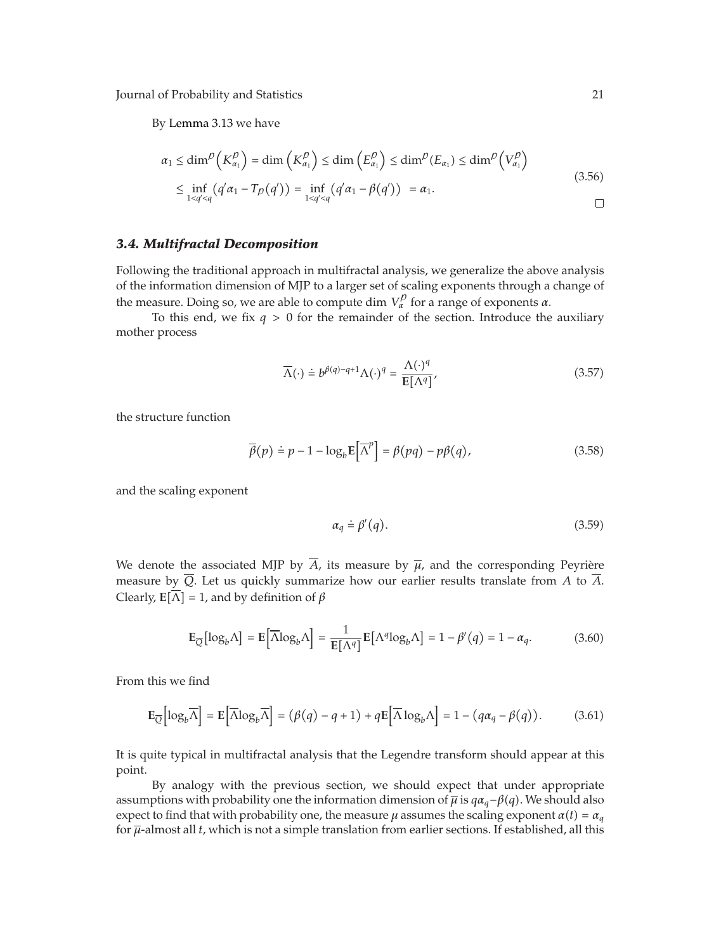By Lemma 3.13 we have

$$
\alpha_1 \le \dim^{\rho}\left(K_{\alpha_1}^{\rho}\right) = \dim\left(K_{\alpha_1}^{\rho}\right) \le \dim\left(E_{\alpha_1}^{\rho}\right) \le \dim^{\rho}\left(E_{\alpha_1}\right) \le \dim^{\rho}\left(V_{\alpha_1}^{\rho}\right)
$$
\n
$$
\le \inf_{1 < q' < q} \left(q'\alpha_1 - T_{\rho}(q')\right) = \inf_{1 < q' < q} \left(q'\alpha_1 - \beta(q')\right) = \alpha_1. \tag{3.56}
$$

#### *3.4. Multifractal Decomposition*

Following the traditional approach in multifractal analysis, we generalize the above analysis of the information dimension of MJP to a larger set of scaling exponents through a change of the measure. Doing so, we are able to compute dim  $V_\alpha^\rho$  for a range of exponents *α*.

To this end, we fix  $q > 0$  for the remainder of the section. Introduce the auxiliary mother process

$$
\overline{\Lambda}(\cdot) \doteq b^{\beta(q)-q+1} \Lambda(\cdot)^q = \frac{\Lambda(\cdot)^q}{\mathbb{E}[\Lambda^q]},\tag{3.57}
$$

the structure function

$$
\overline{\beta}(p) \doteq p - 1 - \log_b \mathbb{E} \left[ \overline{\Lambda}^p \right] = \beta(pq) - p\beta(q), \tag{3.58}
$$

and the scaling exponent

$$
\alpha_q \doteq \beta'(q). \tag{3.59}
$$

We denote the associated MJP by  $\overline{A}$ , its measure by  $\overline{\mu}$ , and the corresponding Peyrière measure by  $\overline{Q}$ . Let us quickly summarize how our earlier results translate from *A* to  $\overline{A}$ . Clearly,  $\mathbf{E}[\overline{\Lambda}] = 1$ , and by definition of  $\beta$ 

$$
\mathbf{E}_{\overline{Q}}[\log_b \Lambda] = \mathbf{E}[\overline{\Lambda} \log_b \Lambda] = \frac{1}{\mathbf{E}[\Lambda^q]} \mathbf{E}[\Lambda^q \log_b \Lambda] = 1 - \beta'(q) = 1 - \alpha_q.
$$
 (3.60)

From this we find

$$
\mathbf{E}_{\overline{Q}}\Big[\log_b \overline{\Lambda}\Big] = \mathbf{E}\Big[\overline{\Lambda}\log_b \overline{\Lambda}\Big] = (\beta(q) - q + 1) + q \mathbf{E}\Big[\overline{\Lambda}\log_b \Lambda\Big] = 1 - (q\alpha_q - \beta(q)).\tag{3.61}
$$

It is quite typical in multifractal analysis that the Legendre transform should appear at this point.

By analogy with the previous section, we should expect that under appropriate assumptions with probability one the information dimension of  $\overline{\mu}$  is  $q\alpha_q-\beta(q)$ . We should also expect to find that with probability one, the measure  $\mu$  assumes the scaling exponent  $\alpha(t) = \alpha_q$ for *μ*-almost all *t*, which is not a simple translation from earlier sections. If established, all this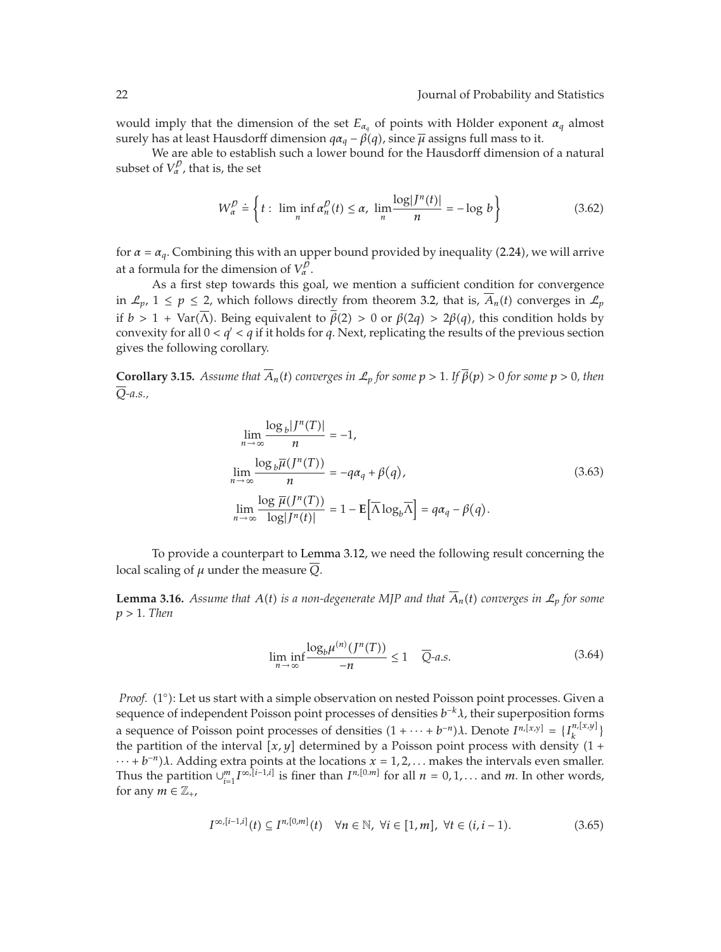would imply that the dimension of the set  $E_{\alpha_q}$  of points with Hölder exponent  $\alpha_q$  almost surely has at least Hausdorff dimension *qαq* − *β*-*q*, since *μ* assigns full mass to it.

We are able to establish such a lower bound for the Hausdorff dimension of a natural subset of  $V_\alpha^{\, \rho}$ , that is, the set

$$
W_{\alpha}^{D} \doteq \left\{ t : \liminf_{n} \alpha_{n}^{D}(t) \leq \alpha, \lim_{n} \frac{\log |J^{n}(t)|}{n} = -\log b \right\}
$$
 (3.62)

for  $\alpha = \alpha_q$ . Combining this with an upper bound provided by inequality (2.24), we will arrive at a formula for the dimension of  $V_\alpha^p$ .

As a first step towards this goal, we mention a sufficient condition for convergence in  $\mathcal{L}_p$ ,  $1 \leq p \leq 2$ , which follows directly from theorem 3.2, that is,  $A_n(t)$  converges in  $\mathcal{L}_p$ if *b* > 1 + Var(Λ). Being equivalent to  $β(2) > 0$  or  $β(2q) > 2β(q)$ , this condition holds by convexity for all  $0 < q' < q$  if it holds for  $q$ . Next, replicating the results of the previous section gives the following corollary.

**Corollary 3.15.** *Assume that*  $A_n(t)$  *converges in*  $\mathcal{L}_p$  *for some*  $p > 1$ *. If*  $\beta(p) > 0$  *for some*  $p > 0$ *, then Q-a.s.,*

$$
\lim_{n \to \infty} \frac{\log_b |J^n(T)|}{n} = -1,
$$
\n
$$
\lim_{n \to \infty} \frac{\log_b \overline{\mu}(J^n(T))}{n} = -q\alpha_q + \beta(q),
$$
\n
$$
\lim_{n \to \infty} \frac{\log \overline{\mu}(J^n(T))}{\log |J^n(t)|} = 1 - \mathbb{E}[\overline{\Lambda} \log_b \overline{\Lambda}] = q\alpha_q - \beta(q).
$$
\n(3.63)

To provide a counterpart to Lemma 3.12, we need the following result concerning the local scaling of *μ* under the measure *Q*.

**Lemma 3.16.** Assume that  $A(t)$  is a non-degenerate MJP and that  $A_n(t)$  converges in  $\mathcal{L}_p$  for some *p >* 1*. Then*

$$
\liminf_{n \to \infty} \frac{\log_b \mu^{(n)}(J^n(T))}{-n} \le 1 \quad \overline{Q}\text{-}a.s. \tag{3.64}
$$

Proof. (1°): Let us start with a simple observation on nested Poisson point processes. Given a sequence of independent Poisson point processes of densities *b*<sup>−</sup>*kλ*, their superposition forms a sequence of Poisson point processes of densities  $(1 + \cdots + b^{-n})\lambda$ . Denote  $I^{n,[x,y]} = \{I^{n,[x,y]}_k\}$ the partition of the interval  $[x, y]$  determined by a Poisson point process with density  $(1 +$  $\dots + b^{-n}$ )*λ*. Adding extra points at the locations *x* = 1, 2, ... makes the intervals even smaller. Thus the partition  $\bigcup_{i=1}^{m} I^{\infty, [i-1,i]}$  is finer than  $I^{n,[0,m]}$  for all  $n = 0, 1, \ldots$  and  $m$ . In other words, for any  $m \in \mathbb{Z}_+$ ,

$$
I^{\infty, [i-1,i]}(t) \subseteq I^{n,[0,m]}(t) \quad \forall n \in \mathbb{N}, \ \forall i \in [1,m], \ \forall t \in (i,i-1). \tag{3.65}
$$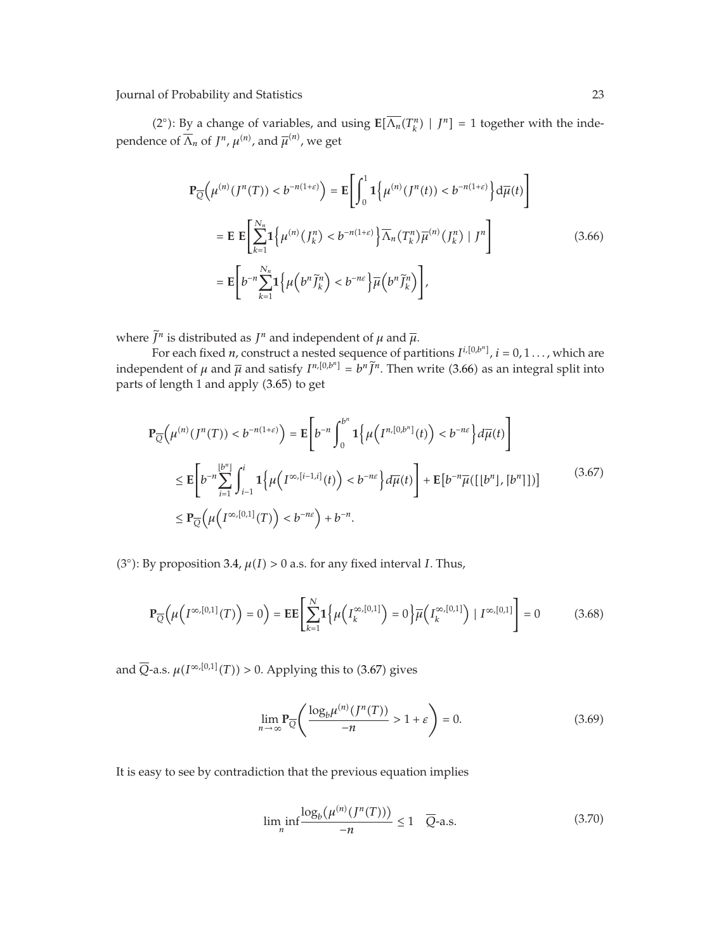(2°): By a change of variables, and using  $\mathbf{E}[\overline{\Lambda_n}(T_k^n) | J^n] = 1$  together with the independence of  $\overline{\Lambda}_n$  of  $J^n$ ,  $\mu^{(n)}$ , and  $\overline{\mu}^{(n)}$ , we get

$$
\mathbf{P}_{\overline{Q}}\left(\mu^{(n)}(J^n(T)) < b^{-n(1+\varepsilon)}\right) = \mathbf{E}\left[\int_0^1 \mathbf{1}\left\{\mu^{(n)}(J^n(t)) < b^{-n(1+\varepsilon)}\right\} d\overline{\mu}(t)\right]
$$
\n
$$
= \mathbf{E}\,\mathbf{E}\left[\sum_{k=1}^{N_n} \mathbf{1}\left\{\mu^{(n)}(J_k^n) < b^{-n(1+\varepsilon)}\right\} \overline{\Lambda}_n(T_k^n) \overline{\mu}^{(n)}(J_k^n) \mid J^n\right]
$$
\n
$$
= \mathbf{E}\left[b^{-n}\sum_{k=1}^{N_n} \mathbf{1}\left\{\mu\left(b^n \widetilde{J}_k^n\right) < b^{-n\varepsilon}\right\} \overline{\mu}\left(b^n \widetilde{J}_k^n\right)\right],\tag{3.66}
$$

where  $\overline{J}^n$  is distributed as  $J^n$  and independent of  $\mu$  and  $\overline{\mu}$ .

For each fixed *n*, construct a nested sequence of partitions  $I^{i,[0,b^n]}$ ,  $i = 0, 1 \ldots$ , which are independent of  $\mu$  and  $\overline{\mu}$  and satisfy  $I^{n,[0,b^n]} = b^n \widetilde{J}^n$ . Then write (3.66) as an integral split into parts of length 1 and apply (3.65) to get

$$
\mathbf{P}_{\overline{Q}}\left(\mu^{(n)}(J^n(T)) < b^{-n(1+\varepsilon)}\right) = \mathbf{E}\left[b^{-n}\int_0^{b^n} \mathbf{1}\left\{\mu\left(I^{n,[0,b^n]}(t)\right) < b^{-n\varepsilon}\right\} d\overline{\mu}(t)\right]
$$
\n
$$
\leq \mathbf{E}\left[b^{-n}\sum_{i=1}^{\lfloor b^n \rfloor} \int_{i-1}^i \mathbf{1}\left\{\mu\left(I^{\infty,[i-1,i]}(t)\right) < b^{-n\varepsilon}\right\} d\overline{\mu}(t)\right] + \mathbf{E}\left[b^{-n}\overline{\mu}([b^n], [b^n]]\right]
$$
\n
$$
\leq \mathbf{P}_{\overline{Q}}\left(\mu\left(I^{\infty,[0,1]}(T)\right) < b^{-n\varepsilon}\right) + b^{-n}.
$$
\n(3.67)

(3°): By proposition 3.4,  $\mu(I) > 0$  a.s. for any fixed interval *I*. Thus,

$$
\mathbf{P}_{\overline{Q}}\Big(\mu\Big(I^{\infty,[0,1]}(T)\Big) = 0\Big) = \mathbf{E} \mathbf{E} \Bigg[ \sum_{k=1}^{N} \mathbf{1} \Big\{ \mu\Big(I^{\infty,[0,1]}_k\Big) = 0 \Big\} \overline{\mu}\Big(I^{\infty,[0,1]}_k\Big) \mid I^{\infty,[0,1]} \Bigg] = 0 \tag{3.68}
$$

and  $\overline{Q}$ -a.s.  $\mu(I^{\infty,[0,1]}(T)) > 0$ . Applying this to (3.67) gives

$$
\lim_{n \to \infty} \mathbf{P}_{\overline{Q}} \left( \frac{\log_b \mu^{(n)}(J^n(T))}{-n} > 1 + \varepsilon \right) = 0. \tag{3.69}
$$

It is easy to see by contradiction that the previous equation implies

$$
\liminf_{n} \frac{\log_b(\mu^{(n)}(J^n(T)))}{-n} \le 1 \quad \overline{Q}\text{-a.s.}
$$
\n(3.70)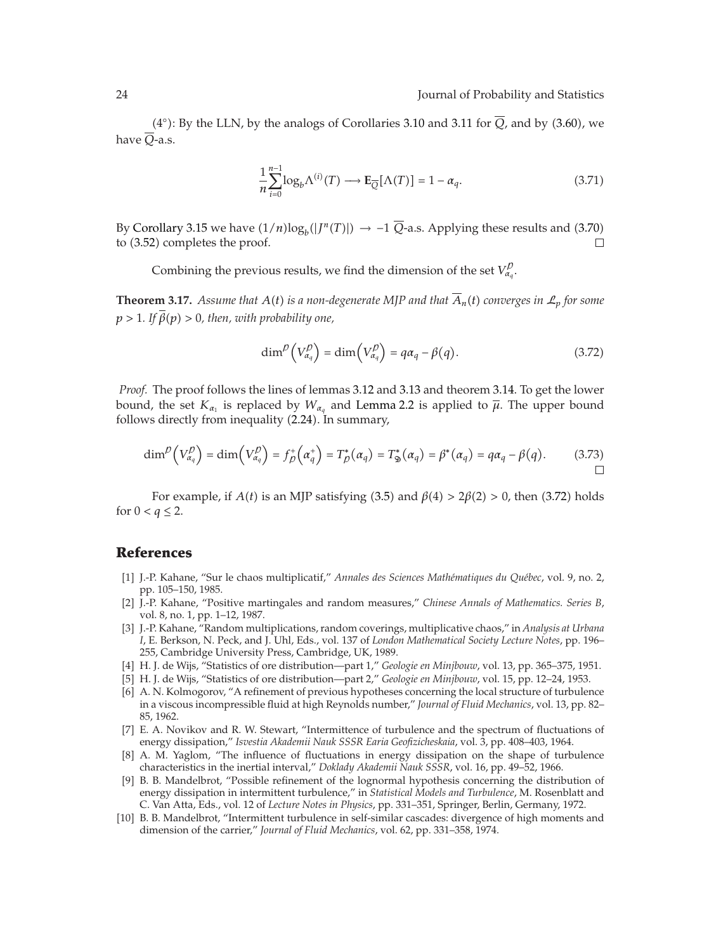(4°): By the LLN, by the analogs of Corollaries 3.10 and 3.11 for  $\overline{Q}$ , and by (3.60), we have  $\overline{O}$ -a.s.

$$
\frac{1}{n}\sum_{i=0}^{n-1}\log_b \Lambda^{(i)}(T) \longrightarrow \mathbf{E}_{\overline{Q}}[\Lambda(T)] = 1 - \alpha_q.
$$
 (3.71)

By Corollary 3.15 we have  $(1/n)\log_b(|J^n(T)|) \rightarrow -1$  *Q*-a.s. Applying these results and (3.70) to (3.52) completes the proof.  $\Box$ 

Combining the previous results, we find the dimension of the set  $V_{\alpha_q}^{\mathcal{D}}$ .

**Theorem 3.17.** Assume that  $A(t)$  is a non-degenerate MJP and that  $A_n(t)$  converges in  $\mathcal{L}_p$  for some  $p > 1$ . If  $\beta(p) > 0$ , then, with probability one,

$$
\dim^{\mathcal{D}}\left(V_{\alpha_q}^{\mathcal{D}}\right) = \dim\left(V_{\alpha_q}^{\mathcal{D}}\right) = q\alpha_q - \beta(q). \tag{3.72}
$$

*Proof.* The proof follows the lines of lemmas 3.12 and 3.13 and theorem 3.14. To get the lower bound, the set  $K_{\alpha_1}$  is replaced by  $W_{\alpha_q}$  and Lemma 2.2 is applied to  $\overline{\mu}$ . The upper bound follows directly from inequality (2.24). In summary,

$$
\dim^{\mathcal{D}}\left(V_{\alpha_q}^{\mathcal{D}}\right)=\dim\left(V_{\alpha_q}^{\mathcal{D}}\right)=f_{\mathcal{D}}^+\left(\alpha_q^+\right)=T_{\mathcal{D}}^*\left(\alpha_q\right)=T_{\mathfrak{D}}^*\left(\alpha_q\right)=\beta^*(\alpha_q)=q\alpha_q-\beta(q). \hspace{1cm} (3.73)
$$

For example, if  $A(t)$  is an MJP satisfying (3.5) and  $β(4) > 2β(2) > 0$ , then (3.72) holds for  $0 < q \leq 2$ .

#### **References**

- 1 J.-P. Kahane, "Sur le chaos multiplicatif," *Annales des Sciences Mathematiques du Qu ´ ebec ´* , vol. 9, no. 2, pp. 105–150, 1985.
- 2 J.-P. Kahane, "Positive martingales and random measures," *Chinese Annals of Mathematics. Series B*, vol. 8, no. 1, pp. 1–12, 1987.
- 3 J.-P. Kahane, "Random multiplications, random coverings, multiplicative chaos," in *Analysis at Urbana I*, E. Berkson, N. Peck, and J. Uhl, Eds., vol. 137 of *London Mathematical Society Lecture Notes*, pp. 196– 255, Cambridge University Press, Cambridge, UK, 1989.
- 4 H. J. de Wijs, "Statistics of ore distribution—part 1," *Geologie en Minjbouw*, vol. 13, pp. 365–375, 1951.
- 5 H. J. de Wijs, "Statistics of ore distribution—part 2," *Geologie en Minjbouw*, vol. 15, pp. 12–24, 1953.
- 6 A. N. Kolmogorov, "A refinement of previous hypotheses concerning the local structure of turbulence in a viscous incompressible fluid at high Reynolds number," *Journal of Fluid Mechanics*, vol. 13, pp. 82– 85, 1962.
- 7 E. A. Novikov and R. W. Stewart, "Intermittence of turbulence and the spectrum of fluctuations of energy dissipation," *Isvestia Akademii Nauk SSSR Earia Geofizicheskaia*, vol. 3, pp. 408–403, 1964.
- [8] A. M. Yaglom, "The influence of fluctuations in energy dissipation on the shape of turbulence characteristics in the inertial interval," *Doklady Akademii Nauk SSSR*, vol. 16, pp. 49–52, 1966.
- 9 B. B. Mandelbrot, "Possible refinement of the lognormal hypothesis concerning the distribution of energy dissipation in intermittent turbulence," in *Statistical Models and Turbulence*, M. Rosenblatt and C. Van Atta, Eds., vol. 12 of *Lecture Notes in Physics*, pp. 331–351, Springer, Berlin, Germany, 1972.
- 10 B. B. Mandelbrot, "Intermittent turbulence in self-similar cascades: divergence of high moments and dimension of the carrier," *Journal of Fluid Mechanics*, vol. 62, pp. 331–358, 1974.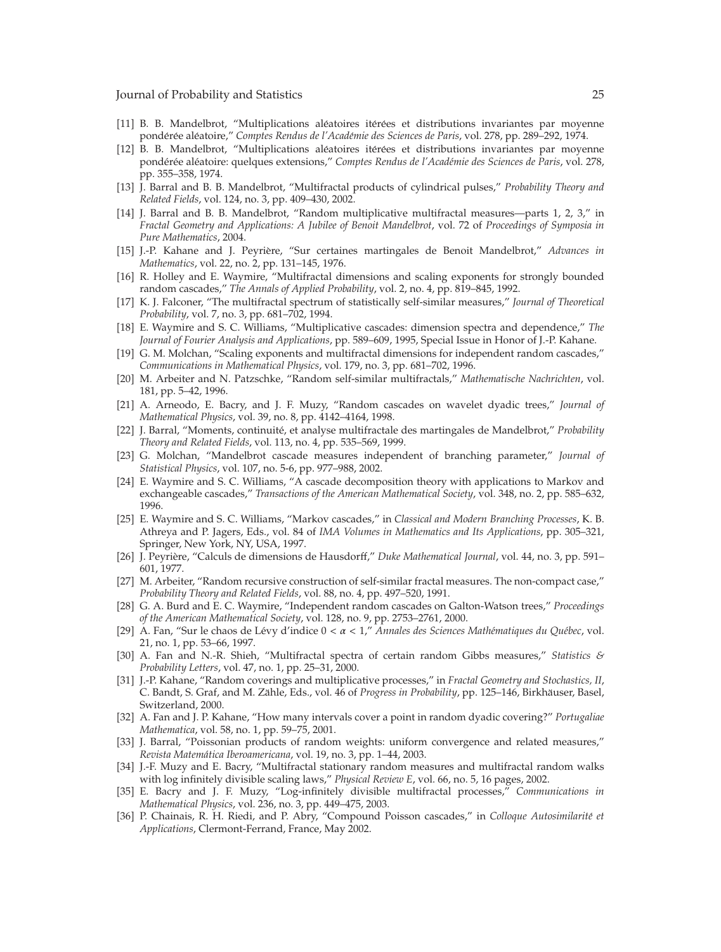- [11] B. B. Mandelbrot, "Multiplications aléatoires itérées et distributions invariantes par moyenne pondérée aléatoire," Comptes Rendus de l'Académie des Sciences de Paris, vol. 278, pp. 289–292, 1974.
- [12] B. B. Mandelbrot, "Multiplications aléatoires itérées et distributions invariantes par moyenne pondérée aléatoire: quelques extensions," Comptes Rendus de l'Académie des Sciences de Paris, vol. 278, pp. 355–358, 1974.
- 13 J. Barral and B. B. Mandelbrot, "Multifractal products of cylindrical pulses," *Probability Theory and Related Fields*, vol. 124, no. 3, pp. 409–430, 2002.
- 14 J. Barral and B. B. Mandelbrot, "Random multiplicative multifractal measures—parts 1, 2, 3," in *Fractal Geometry and Applications: A Jubilee of Benoit Mandelbrot*, vol. 72 of *Proceedings of Symposia in Pure Mathematics*, 2004.
- 15 J.-P. Kahane and J. Peyriere, "Sur certaines martingales de Benoit Mandelbrot," ` *Advances in Mathematics*, vol. 22, no. 2, pp. 131–145, 1976.
- [16] R. Holley and E. Waymire, "Multifractal dimensions and scaling exponents for strongly bounded random cascades," *The Annals of Applied Probability*, vol. 2, no. 4, pp. 819–845, 1992.
- 17 K. J. Falconer, "The multifractal spectrum of statistically self-similar measures," *Journal of Theoretical Probability*, vol. 7, no. 3, pp. 681–702, 1994.
- 18 E. Waymire and S. C. Williams, "Multiplicative cascades: dimension spectra and dependence," *The Journal of Fourier Analysis and Applications*, pp. 589–609, 1995, Special Issue in Honor of J.-P. Kahane.
- [19] G. M. Molchan, "Scaling exponents and multifractal dimensions for independent random cascades," *Communications in Mathematical Physics*, vol. 179, no. 3, pp. 681–702, 1996.
- 20 M. Arbeiter and N. Patzschke, "Random self-similar multifractals," *Mathematische Nachrichten*, vol. 181, pp. 5–42, 1996.
- 21 A. Arneodo, E. Bacry, and J. F. Muzy, "Random cascades on wavelet dyadic trees," *Journal of Mathematical Physics*, vol. 39, no. 8, pp. 4142–4164, 1998.
- 22 J. Barral, "Moments, continuite, et analyse multifractale des martingales de Mandelbrot," ´ *Probability Theory and Related Fields*, vol. 113, no. 4, pp. 535–569, 1999.
- 23 G. Molchan, "Mandelbrot cascade measures independent of branching parameter," *Journal of Statistical Physics*, vol. 107, no. 5-6, pp. 977–988, 2002.
- 24 E. Waymire and S. C. Williams, "A cascade decomposition theory with applications to Markov and exchangeable cascades," *Transactions of the American Mathematical Society*, vol. 348, no. 2, pp. 585–632, 1996.
- 25 E. Waymire and S. C. Williams, "Markov cascades," in *Classical and Modern Branching Processes*, K. B. Athreya and P. Jagers, Eds., vol. 84 of *IMA Volumes in Mathematics and Its Applications*, pp. 305–321, Springer, New York, NY, USA, 1997.
- [26] J. Peyrière, "Calculs de dimensions de Hausdorff," *Duke Mathematical Journal*, vol. 44, no. 3, pp. 591– 601, 1977.
- 27 M. Arbeiter, "Random recursive construction of self-similar fractal measures. The non-compact case," *Probability Theory and Related Fields*, vol. 88, no. 4, pp. 497–520, 1991.
- 28 G. A. Burd and E. C. Waymire, "Independent random cascades on Galton-Watson trees," *Proceedings of the American Mathematical Society*, vol. 128, no. 9, pp. 2753–2761, 2000.
- 29 A. Fan, "Sur le chaos de Levy d'indice 0 ´ *<α<* 1," *Annales des Sciences Mathematiques du Qu ´ ebec ´* , vol. 21, no. 1, pp. 53–66, 1997.
- 30 A. Fan and N.-R. Shieh, "Multifractal spectra of certain random Gibbs measures," *Statistics & Probability Letters*, vol. 47, no. 1, pp. 25–31, 2000.
- 31 J.-P. Kahane, "Random coverings and multiplicative processes," in *Fractal Geometry and Stochastics, II*, C. Bandt, S. Graf, and M. Zähle, Eds., vol. 46 of Progress in Probability, pp. 125–146, Birkhäuser, Basel, Switzerland, 2000.
- 32 A. Fan and J. P. Kahane, "How many intervals cover a point in random dyadic covering?" *Portugaliae Mathematica*, vol. 58, no. 1, pp. 59–75, 2001.
- [33] J. Barral, "Poissonian products of random weights: uniform convergence and related measures," *Revista Matematica Iberoamericana ´* , vol. 19, no. 3, pp. 1–44, 2003.
- 34 J.-F. Muzy and E. Bacry, "Multifractal stationary random measures and multifractal random walks with log infinitely divisible scaling laws," *Physical Review E*, vol. 66, no. 5, 16 pages, 2002.
- 35 E. Bacry and J. F. Muzy, "Log-infinitely divisible multifractal processes," *Communications in Mathematical Physics*, vol. 236, no. 3, pp. 449–475, 2003.
- 36 P. Chainais, R. H. Riedi, and P. Abry, "Compound Poisson cascades," in *Colloque Autosimilarite et ´ Applications*, Clermont-Ferrand, France, May 2002.